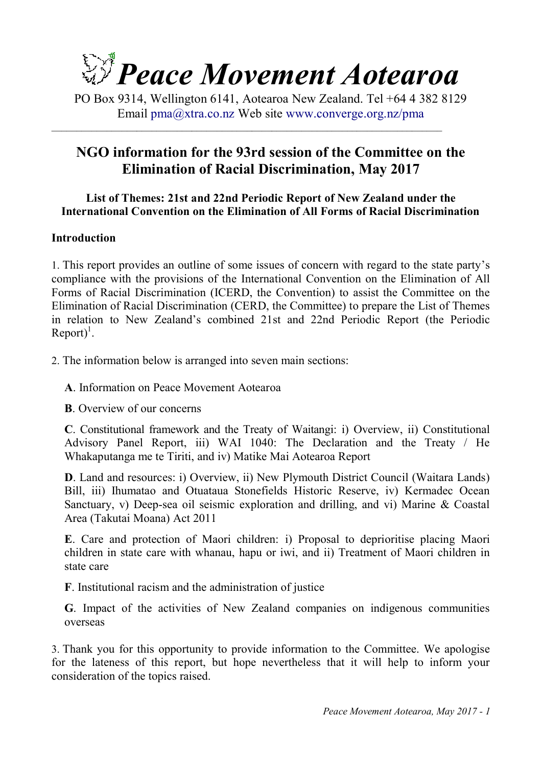

PO Box 9314, Wellington 6141, Aotearoa New Zealand. Tel +64 4 382 8129 Email pma@xtra.co.nz Web site www.converge.org.nz/pma

 $\_$  , and the set of the set of the set of the set of the set of the set of the set of the set of the set of the set of the set of the set of the set of the set of the set of the set of the set of the set of the set of th

# **NGO information for the 93rd session of the Committee on the Elimination of Racial Discrimination, May 2017**

### **List of Themes: 21st and 22nd Periodic Report of New Zealand under the International Convention on the Elimination of All Forms of Racial Discrimination**

### **Introduction**

1. This report provides an outline of some issues of concern with regard to the state party's compliance with the provisions of the International Convention on the Elimination of All Forms of Racial Discrimination (ICERD, the Convention) to assist the Committee on the Elimination of Racial Discrimination (CERD, the Committee) to prepare the List of Themes in relation to New Zealand's combined 21st and 22nd Periodic Report (the Periodic  $\text{Report}$ <sup>1</sup>.

2. The information below is arranged into seven main sections:

**A**. Information on Peace Movement Aotearoa

**B**. Overview of our concerns

**C**. Constitutional framework and the Treaty of Waitangi: i) Overview, ii) Constitutional Advisory Panel Report, iii) WAI 1040: The Declaration and the Treaty / He Whakaputanga me te Tiriti, and iv) Matike Mai Aotearoa Report

**D**. Land and resources: i) Overview, ii) New Plymouth District Council (Waitara Lands) Bill, iii) Ihumatao and Otuataua Stonefields Historic Reserve, iv) Kermadec Ocean Sanctuary, v) Deep-sea oil seismic exploration and drilling, and vi) Marine & Coastal Area (Takutai Moana) Act 2011

**E**. Care and protection of Maori children: i) Proposal to deprioritise placing Maori children in state care with whanau, hapu or iwi, and ii) Treatment of Maori children in state care

**F**. Institutional racism and the administration of justice

**G**. Impact of the activities of New Zealand companies on indigenous communities overseas

3. Thank you for this opportunity to provide information to the Committee. We apologise for the lateness of this report, but hope nevertheless that it will help to inform your consideration of the topics raised.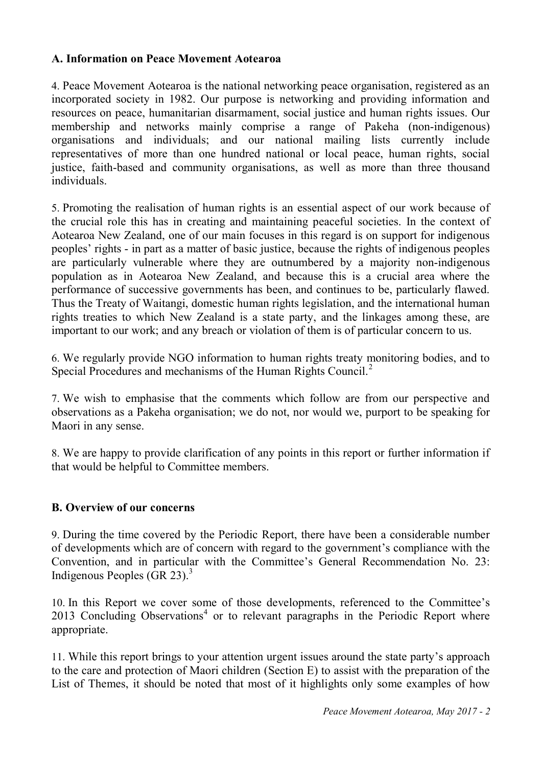### **A. Information on Peace Movement Aotearoa**

4. Peace Movement Aotearoa is the national networking peace organisation, registered as an incorporated society in 1982. Our purpose is networking and providing information and resources on peace, humanitarian disarmament, social justice and human rights issues. Our membership and networks mainly comprise a range of Pakeha (non-indigenous) organisations and individuals; and our national mailing lists currently include representatives of more than one hundred national or local peace, human rights, social justice, faith-based and community organisations, as well as more than three thousand individuals.

5. Promoting the realisation of human rights is an essential aspect of our work because of the crucial role this has in creating and maintaining peaceful societies. In the context of Aotearoa New Zealand, one of our main focuses in this regard is on support for indigenous peoples' rights - in part as a matter of basic justice, because the rights of indigenous peoples are particularly vulnerable where they are outnumbered by a majority non-indigenous population as in Aotearoa New Zealand, and because this is a crucial area where the performance of successive governments has been, and continues to be, particularly flawed. Thus the Treaty of Waitangi, domestic human rights legislation, and the international human rights treaties to which New Zealand is a state party, and the linkages among these, are important to our work; and any breach or violation of them is of particular concern to us.

6. We regularly provide NGO information to human rights treaty monitoring bodies, and to Special Procedures and mechanisms of the Human Rights Council.<sup>2</sup>

7. We wish to emphasise that the comments which follow are from our perspective and observations as a Pakeha organisation; we do not, nor would we, purport to be speaking for Maori in any sense.

8. We are happy to provide clarification of any points in this report or further information if that would be helpful to Committee members.

#### **B. Overview of our concerns**

9. During the time covered by the Periodic Report, there have been a considerable number of developments which are of concern with regard to the government's compliance with the Convention, and in particular with the Committee's General Recommendation No. 23: Indigenous Peoples (GR 23). $3$ 

10. In this Report we cover some of those developments, referenced to the Committee's 2013 Concluding Observations<sup>4</sup> or to relevant paragraphs in the Periodic Report where appropriate.

11. While this report brings to your attention urgent issues around the state party's approach to the care and protection of Maori children (Section E) to assist with the preparation of the List of Themes, it should be noted that most of it highlights only some examples of how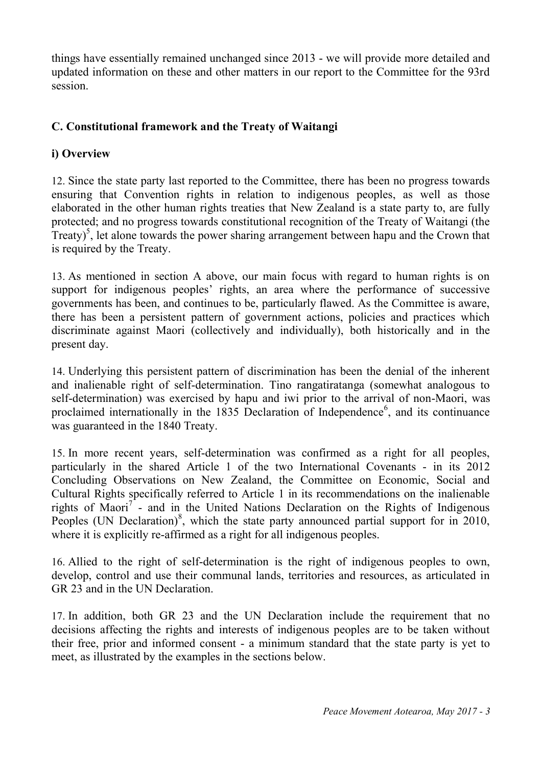things have essentially remained unchanged since 2013 - we will provide more detailed and updated information on these and other matters in our report to the Committee for the 93rd session.

## **C. Constitutional framework and the Treaty of Waitangi**

### **i) Overview**

12. Since the state party last reported to the Committee, there has been no progress towards ensuring that Convention rights in relation to indigenous peoples, as well as those elaborated in the other human rights treaties that New Zealand is a state party to, are fully protected; and no progress towards constitutional recognition of the Treaty of Waitangi (the Treaty)<sup>5</sup>, let alone towards the power sharing arrangement between hapu and the Crown that is required by the Treaty.

13. As mentioned in section A above, our main focus with regard to human rights is on support for indigenous peoples' rights, an area where the performance of successive governments has been, and continues to be, particularly flawed. As the Committee is aware, there has been a persistent pattern of government actions, policies and practices which discriminate against Maori (collectively and individually), both historically and in the present day.

14. Underlying this persistent pattern of discrimination has been the denial of the inherent and inalienable right of self-determination. Tino rangatiratanga (somewhat analogous to self-determination) was exercised by hapu and iwi prior to the arrival of non-Maori, was proclaimed internationally in the 1835 Declaration of Independence<sup>6</sup>, and its continuance was guaranteed in the 1840 Treaty.

15. In more recent years, self-determination was confirmed as a right for all peoples, particularly in the shared Article 1 of the two International Covenants - in its 2012 Concluding Observations on New Zealand, the Committee on Economic, Social and Cultural Rights specifically referred to Article 1 in its recommendations on the inalienable rights of Maori<sup>7</sup> - and in the United Nations Declaration on the Rights of Indigenous Peoples (UN Declaration)<sup>8</sup>, which the state party announced partial support for in 2010, where it is explicitly re-affirmed as a right for all indigenous peoples.

16. Allied to the right of self-determination is the right of indigenous peoples to own, develop, control and use their communal lands, territories and resources, as articulated in GR 23 and in the UN Declaration.

17. In addition, both GR 23 and the UN Declaration include the requirement that no decisions affecting the rights and interests of indigenous peoples are to be taken without their free, prior and informed consent - a minimum standard that the state party is yet to meet, as illustrated by the examples in the sections below.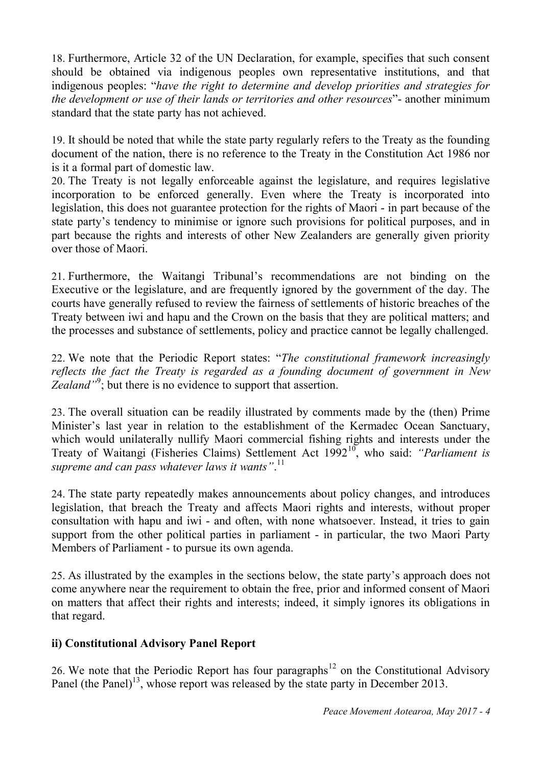18. Furthermore, Article 32 of the UN Declaration, for example, specifies that such consent should be obtained via indigenous peoples own representative institutions, and that indigenous peoples: "*have the right to determine and develop priorities and strategies for the development or use of their lands or territories and other resources*"- another minimum standard that the state party has not achieved.

19. It should be noted that while the state party regularly refers to the Treaty as the founding document of the nation, there is no reference to the Treaty in the Constitution Act 1986 nor is it a formal part of domestic law.

20. The Treaty is not legally enforceable against the legislature, and requires legislative incorporation to be enforced generally. Even where the Treaty is incorporated into legislation, this does not guarantee protection for the rights of Maori - in part because of the state party's tendency to minimise or ignore such provisions for political purposes, and in part because the rights and interests of other New Zealanders are generally given priority over those of Maori.

21. Furthermore, the Waitangi Tribunal's recommendations are not binding on the Executive or the legislature, and are frequently ignored by the government of the day. The courts have generally refused to review the fairness of settlements of historic breaches of the Treaty between iwi and hapu and the Crown on the basis that they are political matters; and the processes and substance of settlements, policy and practice cannot be legally challenged.

22. We note that the Periodic Report states: "*The constitutional framework increasingly reflects the fact the Treaty is regarded as a founding document of government in New*  Zealand<sup>"9</sup>; but there is no evidence to support that assertion.

23. The overall situation can be readily illustrated by comments made by the (then) Prime Minister's last year in relation to the establishment of the Kermadec Ocean Sanctuary, which would unilaterally nullify Maori commercial fishing rights and interests under the Treaty of Waitangi (Fisheries Claims) Settlement Act 1992<sup>10</sup>, who said: *"Parliament is supreme and can pass whatever laws it wants"*. 11

24. The state party repeatedly makes announcements about policy changes, and introduces legislation, that breach the Treaty and affects Maori rights and interests, without proper consultation with hapu and iwi - and often, with none whatsoever. Instead, it tries to gain support from the other political parties in parliament - in particular, the two Maori Party Members of Parliament - to pursue its own agenda.

25. As illustrated by the examples in the sections below, the state party's approach does not come anywhere near the requirement to obtain the free, prior and informed consent of Maori on matters that affect their rights and interests; indeed, it simply ignores its obligations in that regard.

### **ii) Constitutional Advisory Panel Report**

26. We note that the Periodic Report has four paragraphs<sup>12</sup> on the Constitutional Advisory Panel (the Panel)<sup>13</sup>, whose report was released by the state party in December 2013.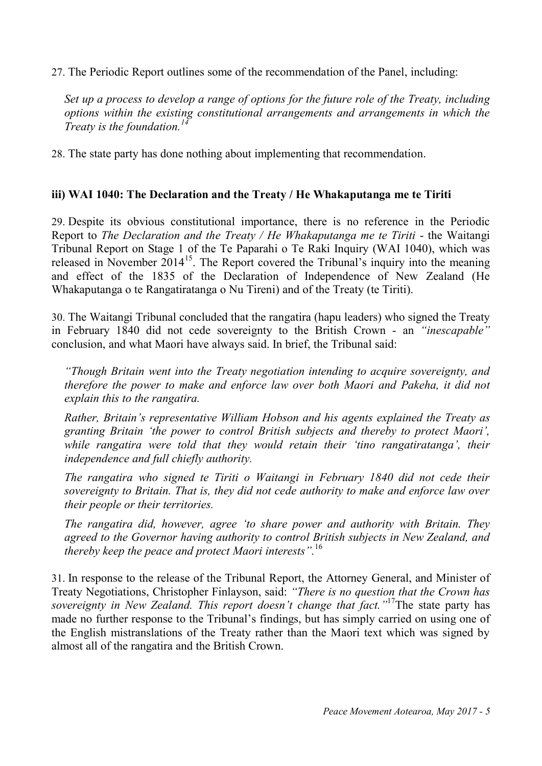27. The Periodic Report outlines some of the recommendation of the Panel, including:

*Set up a process to develop a range of options for the future role of the Treaty, including options within the existing constitutional arrangements and arrangements in which the Treaty is the foundation.<sup>14</sup>*

28. The state party has done nothing about implementing that recommendation.

#### **iii) WAI 1040: The Declaration and the Treaty / He Whakaputanga me te Tiriti**

29. Despite its obvious constitutional importance, there is no reference in the Periodic Report to *The Declaration and the Treaty / He Whakaputanga me te Tiriti* - the Waitangi Tribunal Report on Stage 1 of the Te Paparahi o Te Raki Inquiry (WAI 1040), which was released in November  $2014^{15}$ . The Report covered the Tribunal's inquiry into the meaning and effect of the 1835 of the Declaration of Independence of New Zealand (He Whakaputanga o te Rangatiratanga o Nu Tireni) and of the Treaty (te Tiriti).

30. The Waitangi Tribunal concluded that the rangatira (hapu leaders) who signed the Treaty in February 1840 did not cede sovereignty to the British Crown - an *"inescapable"* conclusion, and what Maori have always said. In brief, the Tribunal said:

*"Though Britain went into the Treaty negotiation intending to acquire sovereignty, and therefore the power to make and enforce law over both Maori and Pakeha, it did not explain this to the rangatira.*

*Rather, Britain's representative William Hobson and his agents explained the Treaty as granting Britain 'the power to control British subjects and thereby to protect Maori', while rangatira were told that they would retain their 'tino rangatiratanga', their independence and full chiefly authority.*

*The rangatira who signed te Tiriti o Waitangi in February 1840 did not cede their sovereignty to Britain. That is, they did not cede authority to make and enforce law over their people or their territories.*

*The rangatira did, however, agree 'to share power and authority with Britain. They agreed to the Governor having authority to control British subjects in New Zealand, and thereby keep the peace and protect Maori interests".* 16

31. In response to the release of the Tribunal Report, the Attorney General, and Minister of Treaty Negotiations, Christopher Finlayson, said: *"There is no question that the Crown has*  sovereignty in New Zealand. This report doesn't change that fact."<sup>17</sup>The state party has made no further response to the Tribunal's findings, but has simply carried on using one of the English mistranslations of the Treaty rather than the Maori text which was signed by almost all of the rangatira and the British Crown.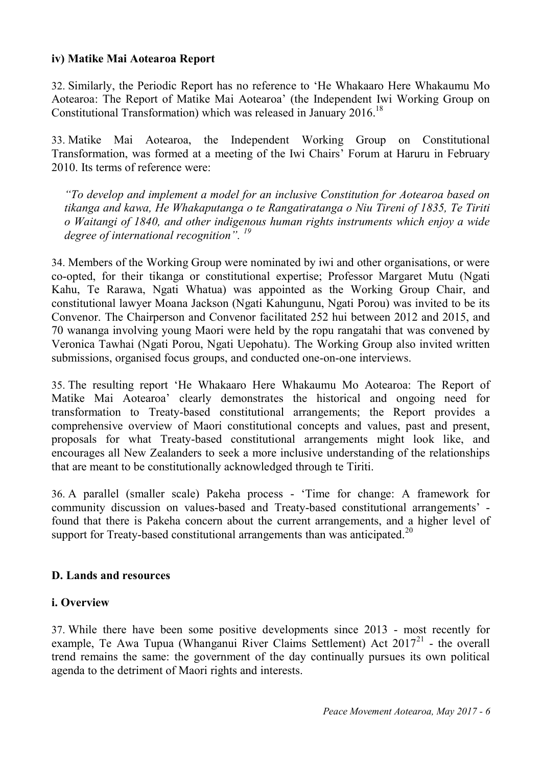#### **iv) Matike Mai Aotearoa Report**

32. Similarly, the Periodic Report has no reference to 'He Whakaaro Here Whakaumu Mo Aotearoa: The Report of Matike Mai Aotearoa' (the Independent Iwi Working Group on Constitutional Transformation) which was released in January 2016.<sup>18</sup>

33. Matike Mai Aotearoa, the Independent Working Group on Constitutional Transformation, was formed at a meeting of the Iwi Chairs' Forum at Haruru in February 2010. Its terms of reference were:

*"To develop and implement a model for an inclusive Constitution for Aotearoa based on tikanga and kawa, He Whakaputanga o te Rangatiratanga o Niu Tireni of 1835, Te Tiriti o Waitangi of 1840, and other indigenous human rights instruments which enjoy a wide degree of international recognition". 19*

34. Members of the Working Group were nominated by iwi and other organisations, or were co-opted, for their tikanga or constitutional expertise; Professor Margaret Mutu (Ngati Kahu, Te Rarawa, Ngati Whatua) was appointed as the Working Group Chair, and constitutional lawyer Moana Jackson (Ngati Kahungunu, Ngati Porou) was invited to be its Convenor. The Chairperson and Convenor facilitated 252 hui between 2012 and 2015, and 70 wananga involving young Maori were held by the ropu rangatahi that was convened by Veronica Tawhai (Ngati Porou, Ngati Uepohatu). The Working Group also invited written submissions, organised focus groups, and conducted one-on-one interviews.

35. The resulting report 'He Whakaaro Here Whakaumu Mo Aotearoa: The Report of Matike Mai Aotearoa' clearly demonstrates the historical and ongoing need for transformation to Treaty-based constitutional arrangements; the Report provides a comprehensive overview of Maori constitutional concepts and values, past and present, proposals for what Treaty-based constitutional arrangements might look like, and encourages all New Zealanders to seek a more inclusive understanding of the relationships that are meant to be constitutionally acknowledged through te Tiriti.

36. A parallel (smaller scale) Pakeha process - 'Time for change: A framework for community discussion on values-based and Treaty-based constitutional arrangements' found that there is Pakeha concern about the current arrangements, and a higher level of support for Treaty-based constitutional arrangements than was anticipated.<sup>20</sup>

#### **D. Lands and resources**

#### **i. Overview**

37. While there have been some positive developments since 2013 - most recently for example, Te Awa Tupua (Whanganui River Claims Settlement) Act  $2017<sup>21</sup>$  - the overall trend remains the same: the government of the day continually pursues its own political agenda to the detriment of Maori rights and interests.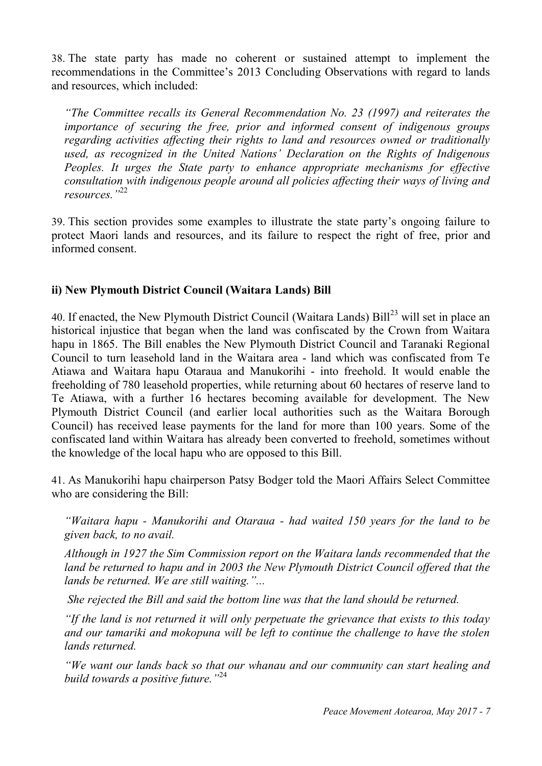38. The state party has made no coherent or sustained attempt to implement the recommendations in the Committee's 2013 Concluding Observations with regard to lands and resources, which included:

*"The Committee recalls its General Recommendation No. 23 (1997) and reiterates the importance of securing the free, prior and informed consent of indigenous groups regarding activities affecting their rights to land and resources owned or traditionally used, as recognized in the United Nations' Declaration on the Rights of Indigenous Peoples. It urges the State party to enhance appropriate mechanisms for effective consultation with indigenous people around all policies affecting their ways of living and resources."* 22

39. This section provides some examples to illustrate the state party's ongoing failure to protect Maori lands and resources, and its failure to respect the right of free, prior and informed consent.

### **ii) New Plymouth District Council (Waitara Lands) Bill**

40. If enacted, the New Plymouth District Council (Waitara Lands) Bill<sup>23</sup> will set in place an historical injustice that began when the land was confiscated by the Crown from Waitara hapu in 1865. The Bill enables the New Plymouth District Council and Taranaki Regional Council to turn leasehold land in the Waitara area - land which was confiscated from Te Atiawa and Waitara hapu Otaraua and Manukorihi - into freehold. It would enable the freeholding of 780 leasehold properties, while returning about 60 hectares of reserve land to Te Atiawa, with a further 16 hectares becoming available for development. The New Plymouth District Council (and earlier local authorities such as the Waitara Borough Council) has received lease payments for the land for more than 100 years. Some of the confiscated land within Waitara has already been converted to freehold, sometimes without the knowledge of the local hapu who are opposed to this Bill.

41. As Manukorihi hapu chairperson Patsy Bodger told the Maori Affairs Select Committee who are considering the Bill:

*"Waitara hapu - Manukorihi and Otaraua - had waited 150 years for the land to be given back, to no avail.*

*Although in 1927 the Sim Commission report on the Waitara lands recommended that the land be returned to hapu and in 2003 the New Plymouth District Council offered that the lands be returned. We are still waiting."...*

*She rejected the Bill and said the bottom line was that the land should be returned.*

*"If the land is not returned it will only perpetuate the grievance that exists to this today and our tamariki and mokopuna will be left to continue the challenge to have the stolen lands returned.*

*"We want our lands back so that our whanau and our community can start healing and build towards a positive future."* 24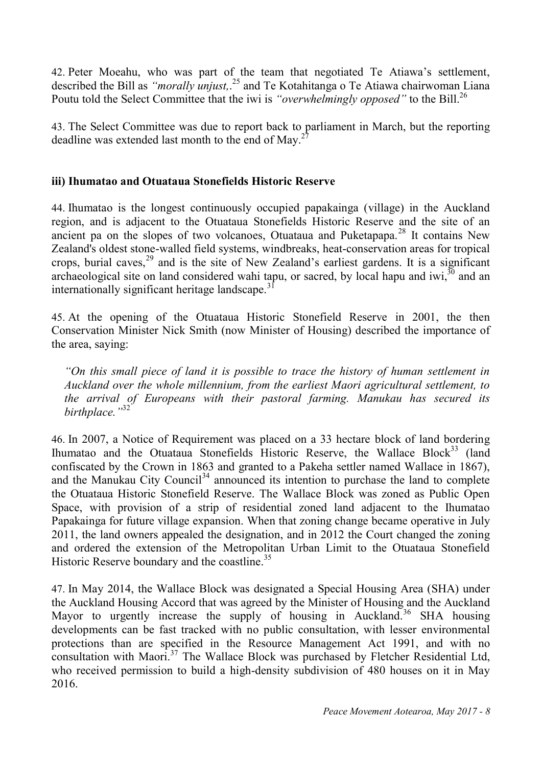42. Peter Moeahu, who was part of the team that negotiated Te Atiawa's settlement, described the Bill as *"morally unjust,*. <sup>25</sup> and Te Kotahitanga o Te Atiawa chairwoman Liana Poutu told the Select Committee that the iwi is *"overwhelmingly opposed"* to the Bill.<sup>26</sup>

43. The Select Committee was due to report back to parliament in March, but the reporting deadline was extended last month to the end of May.<sup>27</sup>

### **iii) Ihumatao and Otuataua Stonefields Historic Reserve**

44. Ihumatao is the longest continuously occupied papakainga (village) in the Auckland region, and is adjacent to the Otuataua Stonefields Historic Reserve and the site of an ancient pa on the slopes of two volcanoes, Otuataua and Puketapapa.<sup>28</sup> It contains New Zealand's oldest stone-walled field systems, windbreaks, heat-conservation areas for tropical crops, burial caves,  $29$  and is the site of New Zealand's earliest gardens. It is a significant archaeological site on land considered wahi tapu, or sacred, by local hapu and iwi,  $\frac{30}{10}$  and an internationally significant heritage landscape.<sup>31</sup>

45. At the opening of the Otuataua Historic Stonefield Reserve in 2001, the then Conservation Minister Nick Smith (now Minister of Housing) described the importance of the area, saying:

*"On this small piece of land it is possible to trace the history of human settlement in Auckland over the whole millennium, from the earliest Maori agricultural settlement, to the arrival of Europeans with their pastoral farming. Manukau has secured its birthplace."*<sup>32</sup>

46. In 2007, a Notice of Requirement was placed on a 33 hectare block of land bordering Ihumatao and the Otuataua Stonefields Historic Reserve, the Wallace Block<sup>33</sup> (land confiscated by the Crown in 1863 and granted to a Pakeha settler named Wallace in 1867), and the Manukau City Council<sup>34</sup> announced its intention to purchase the land to complete the Otuataua Historic Stonefield Reserve. The Wallace Block was zoned as Public Open Space, with provision of a strip of residential zoned land adjacent to the Ihumatao Papakainga for future village expansion. When that zoning change became operative in July 2011, the land owners appealed the designation, and in 2012 the Court changed the zoning and ordered the extension of the Metropolitan Urban Limit to the Otuataua Stonefield Historic Reserve boundary and the coastline.<sup>35</sup>

47. In May 2014, the Wallace Block was designated a Special Housing Area (SHA) under the Auckland Housing Accord that was agreed by the Minister of Housing and the Auckland Mayor to urgently increase the supply of housing in Auckland.<sup>36</sup> SHA housing developments can be fast tracked with no public consultation, with lesser environmental protections than are specified in the Resource Management Act 1991, and with no consultation with Maori.<sup>37</sup> The Wallace Block was purchased by Fletcher Residential Ltd, who received permission to build a high-density subdivision of 480 houses on it in May 2016.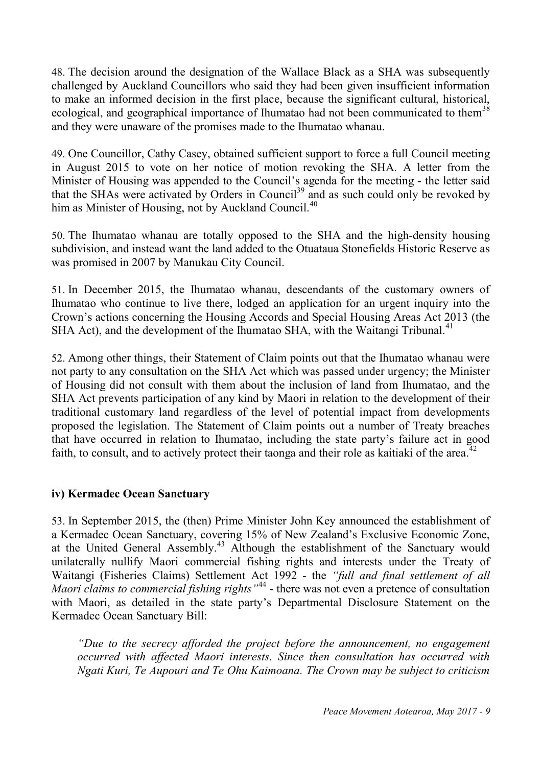48. The decision around the designation of the Wallace Black as a SHA was subsequently challenged by Auckland Councillors who said they had been given insufficient information to make an informed decision in the first place, because the significant cultural, historical, ecological, and geographical importance of Ihumatao had not been communicated to them<sup>38</sup> and they were unaware of the promises made to the Ihumatao whanau.

49. One Councillor, Cathy Casey, obtained sufficient support to force a full Council meeting in August 2015 to vote on her notice of motion revoking the SHA. A letter from the Minister of Housing was appended to the Council's agenda for the meeting - the letter said that the SHAs were activated by Orders in Council<sup>39</sup> and as such could only be revoked by him as Minister of Housing, not by Auckland Council.<sup>40</sup>

50. The Ihumatao whanau are totally opposed to the SHA and the high-density housing subdivision, and instead want the land added to the Otuataua Stonefields Historic Reserve as was promised in 2007 by Manukau City Council.

51. In December 2015, the Ihumatao whanau, descendants of the customary owners of Ihumatao who continue to live there, lodged an application for an urgent inquiry into the Crown's actions concerning the Housing Accords and Special Housing Areas Act 2013 (the SHA Act), and the development of the Ihumatao SHA, with the Waitangi Tribunal.<sup>41</sup>

52. Among other things, their Statement of Claim points out that the Ihumatao whanau were not party to any consultation on the SHA Act which was passed under urgency; the Minister of Housing did not consult with them about the inclusion of land from Ihumatao, and the SHA Act prevents participation of any kind by Maori in relation to the development of their traditional customary land regardless of the level of potential impact from developments proposed the legislation. The Statement of Claim points out a number of Treaty breaches that have occurred in relation to Ihumatao, including the state party's failure act in good faith, to consult, and to actively protect their taonga and their role as kaitiaki of the area.<sup>42</sup>

### **iv) Kermadec Ocean Sanctuary**

53. In September 2015, the (then) Prime Minister John Key announced the establishment of a Kermadec Ocean Sanctuary, covering 15% of New Zealand's Exclusive Economic Zone, at the United General Assembly.<sup>43</sup> Although the establishment of the Sanctuary would unilaterally nullify Maori commercial fishing rights and interests under the Treaty of Waitangi (Fisheries Claims) Settlement Act 1992 - the *"full and final settlement of all*  Maori claims to commercial fishing rights<sup>"44</sup> - there was not even a pretence of consultation with Maori, as detailed in the state party's Departmental Disclosure Statement on the Kermadec Ocean Sanctuary Bill:

*"Due to the secrecy afforded the project before the announcement, no engagement occurred with affected Maori interests. Since then consultation has occurred with Ngati Kuri, Te Aupouri and Te Ohu Kaimoana. The Crown may be subject to criticism*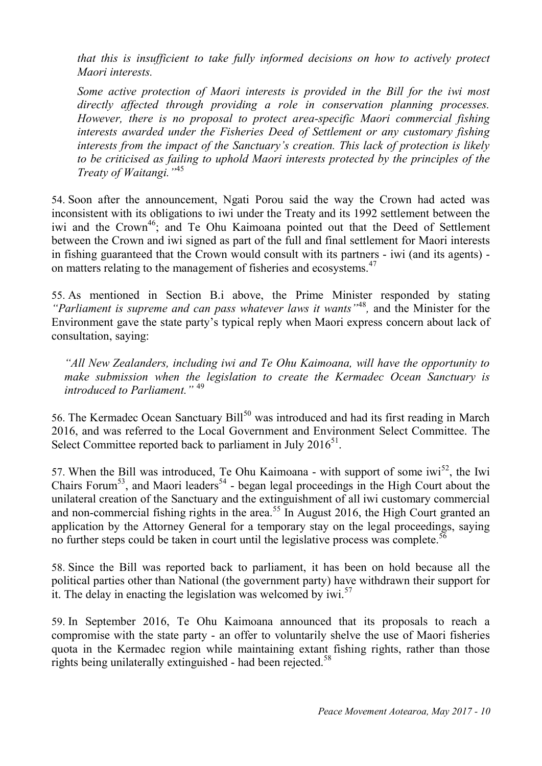*that this is insufficient to take fully informed decisions on how to actively protect Maori interests.*

*Some active protection of Maori interests is provided in the Bill for the iwi most directly affected through providing a role in conservation planning processes. However, there is no proposal to protect area-specific Maori commercial fishing interests awarded under the Fisheries Deed of Settlement or any customary fishing interests from the impact of the Sanctuary's creation. This lack of protection is likely to be criticised as failing to uphold Maori interests protected by the principles of the Treaty of Waitangi."*<sup>45</sup>

54. Soon after the announcement, Ngati Porou said the way the Crown had acted was inconsistent with its obligations to iwi under the Treaty and its 1992 settlement between the iwi and the Crown<sup>46</sup>; and Te Ohu Kaimoana pointed out that the Deed of Settlement between the Crown and iwi signed as part of the full and final settlement for Maori interests in fishing guaranteed that the Crown would consult with its partners - iwi (and its agents) on matters relating to the management of fisheries and ecosystems.<sup>47</sup>

55. As mentioned in Section B.i above, the Prime Minister responded by stating "Parliament is supreme and can pass whatever laws it wants<sup>"48</sup>, and the Minister for the Environment gave the state party's typical reply when Maori express concern about lack of consultation, saying:

*"All New Zealanders, including iwi and Te Ohu Kaimoana, will have the opportunity to make submission when the legislation to create the Kermadec Ocean Sanctuary is introduced to Parliament."* <sup>49</sup>

56. The Kermadec Ocean Sanctuary Bill<sup>50</sup> was introduced and had its first reading in March 2016, and was referred to the Local Government and Environment Select Committee. The Select Committee reported back to parliament in July  $2016^{51}$ .

57. When the Bill was introduced, Te Ohu Kaimoana - with support of some  $iwi<sup>52</sup>$ , the Iwi Chairs Forum<sup>53</sup>, and Maori leaders<sup>54</sup> - began legal proceedings in the High Court about the unilateral creation of the Sanctuary and the extinguishment of all iwi customary commercial and non-commercial fishing rights in the area.<sup>55</sup> In August 2016, the High Court granted an application by the Attorney General for a temporary stay on the legal proceedings, saying no further steps could be taken in court until the legislative process was complete.<sup>56</sup>

58. Since the Bill was reported back to parliament, it has been on hold because all the political parties other than National (the government party) have withdrawn their support for it. The delay in enacting the legislation was welcomed by  $iwi$ <sup>57</sup>

59. In September 2016, Te Ohu Kaimoana announced that its proposals to reach a compromise with the state party - an offer to voluntarily shelve the use of Maori fisheries quota in the Kermadec region while maintaining extant fishing rights, rather than those rights being unilaterally extinguished - had been rejected.<sup>58</sup>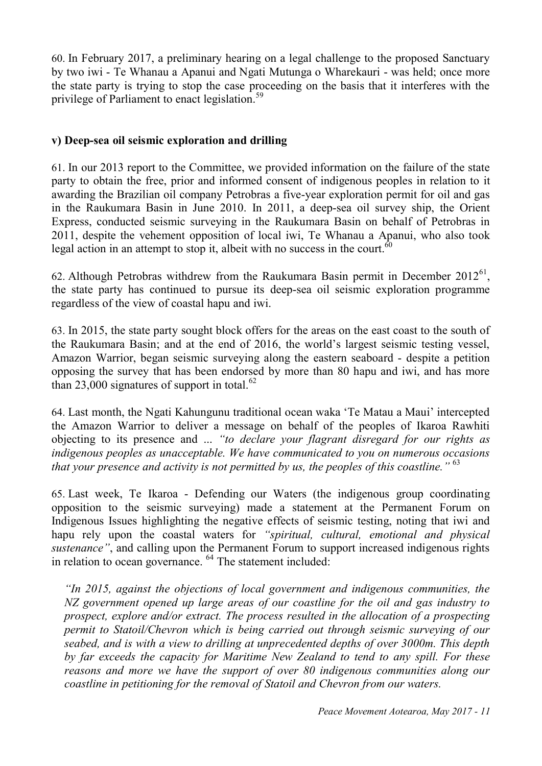60. In February 2017, a preliminary hearing on a legal challenge to the proposed Sanctuary by two iwi - Te Whanau a Apanui and Ngati Mutunga o Wharekauri - was held; once more the state party is trying to stop the case proceeding on the basis that it interferes with the privilege of Parliament to enact legislation.<sup>59</sup>

### **v) Deep-sea oil seismic exploration and drilling**

61. In our 2013 report to the Committee, we provided information on the failure of the state party to obtain the free, prior and informed consent of indigenous peoples in relation to it awarding the Brazilian oil company Petrobras a five-year exploration permit for oil and gas in the Raukumara Basin in June 2010. In 2011, a deep-sea oil survey ship, the Orient Express, conducted seismic surveying in the Raukumara Basin on behalf of Petrobras in 2011, despite the vehement opposition of local iwi, Te Whanau a Apanui, who also took legal action in an attempt to stop it, albeit with no success in the court.<sup>60</sup>

62. Although Petrobras withdrew from the Raukumara Basin permit in December  $2012^{61}$ , the state party has continued to pursue its deep-sea oil seismic exploration programme regardless of the view of coastal hapu and iwi.

63. In 2015, the state party sought block offers for the areas on the east coast to the south of the Raukumara Basin; and at the end of 2016, the world's largest seismic testing vessel, Amazon Warrior, began seismic surveying along the eastern seaboard - despite a petition opposing the survey that has been endorsed by more than 80 hapu and iwi, and has more than 23,000 signatures of support in total. $62$ 

64. Last month, the Ngati Kahungunu traditional ocean waka 'Te Matau a Maui' intercepted the Amazon Warrior to deliver a message on behalf of the peoples of Ikaroa Rawhiti objecting to its presence and ... *"to declare your flagrant disregard for our rights as indigenous peoples as unacceptable. We have communicated to you on numerous occasions that your presence and activity is not permitted by us, the peoples of this coastline."* <sup>63</sup>

65. Last week, Te Ikaroa - Defending our Waters (the indigenous group coordinating opposition to the seismic surveying) made a statement at the Permanent Forum on Indigenous Issues highlighting the negative effects of seismic testing, noting that iwi and hapu rely upon the coastal waters for *"spiritual, cultural, emotional and physical sustenance"*, and calling upon the Permanent Forum to support increased indigenous rights in relation to ocean governance. <sup>64</sup> The statement included:

*"In 2015, against the objections of local government and indigenous communities, the NZ government opened up large areas of our coastline for the oil and gas industry to prospect, explore and/or extract. The process resulted in the allocation of a prospecting permit to Statoil/Chevron which is being carried out through seismic surveying of our seabed, and is with a view to drilling at unprecedented depths of over 3000m. This depth by far exceeds the capacity for Maritime New Zealand to tend to any spill. For these reasons and more we have the support of over 80 indigenous communities along our coastline in petitioning for the removal of Statoil and Chevron from our waters.*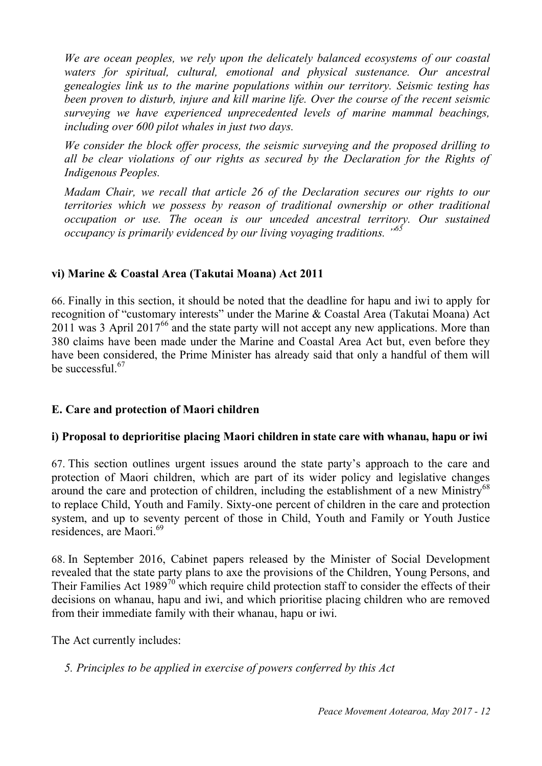*We are ocean peoples, we rely upon the delicately balanced ecosystems of our coastal waters for spiritual, cultural, emotional and physical sustenance. Our ancestral genealogies link us to the marine populations within our territory. Seismic testing has been proven to disturb, injure and kill marine life. Over the course of the recent seismic surveying we have experienced unprecedented levels of marine mammal beachings, including over 600 pilot whales in just two days.*

*We consider the block offer process, the seismic surveying and the proposed drilling to all be clear violations of our rights as secured by the Declaration for the Rights of Indigenous Peoples.*

*Madam Chair, we recall that article 26 of the Declaration secures our rights to our territories which we possess by reason of traditional ownership or other traditional occupation or use. The ocean is our unceded ancestral territory. Our sustained occupancy is primarily evidenced by our living voyaging traditions. " 65*

### **vi) Marine & Coastal Area (Takutai Moana) Act 2011**

66. Finally in this section, it should be noted that the deadline for hapu and iwi to apply for recognition of "customary interests" under the Marine & Coastal Area (Takutai Moana) Act  $2011$  was 3 April 2017<sup>66</sup> and the state party will not accept any new applications. More than 380 claims have been made under the Marine and Coastal Area Act but, even before they have been considered, the Prime Minister has already said that only a handful of them will be successful. $67$ 

### **E. Care and protection of Maori children**

### **i) Proposal to deprioritise placing Maori children in state care with whanau, hapu or iwi**

67. This section outlines urgent issues around the state party's approach to the care and protection of Maori children, which are part of its wider policy and legislative changes around the care and protection of children, including the establishment of a new Ministry<sup>68</sup> to replace Child, Youth and Family. Sixty-one percent of children in the care and protection system, and up to seventy percent of those in Child, Youth and Family or Youth Justice residences, are Maori.<sup>69</sup>

68. In September 2016, Cabinet papers released by the Minister of Social Development revealed that the state party plans to axe the provisions of the Children, Young Persons, and Their Families Act  $1989^{70}$  which require child protection staff to consider the effects of their decisions on whanau, hapu and iwi, and which prioritise placing children who are removed from their immediate family with their whanau, hapu or iwi.

The Act currently includes:

*5. Principles to be applied in exercise of powers conferred by this Act*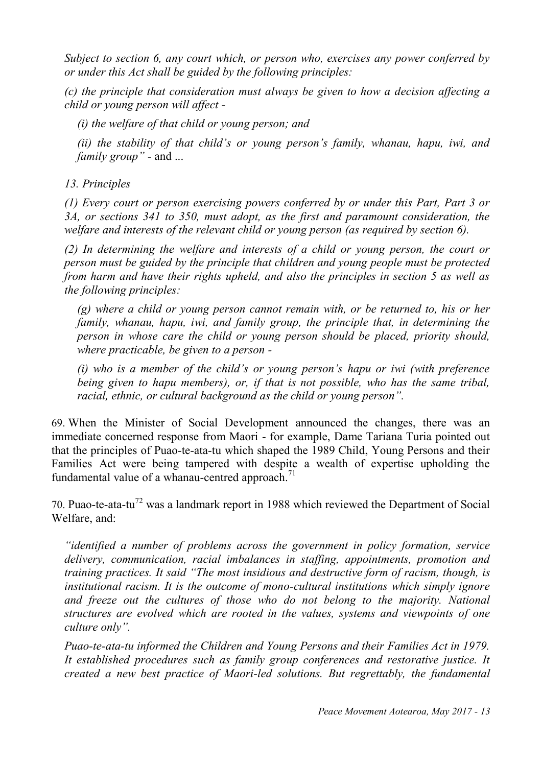*Subject to section 6, any court which, or person who, exercises any power conferred by or under this Act shall be guided by the following principles:*

*(c) the principle that consideration must always be given to how a decision affecting a child or young person will affect -*

*(i) the welfare of that child or young person; and*

*(ii) the stability of that child's or young person's family, whanau, hapu, iwi, and family group" -* and ...

*13. Principles*

*(1) Every court or person exercising powers conferred by or under this Part, Part 3 or 3A, or sections 341 to 350, must adopt, as the first and paramount consideration, the welfare and interests of the relevant child or young person (as required by section 6).*

*(2) In determining the welfare and interests of a child or young person, the court or person must be guided by the principle that children and young people must be protected from harm and have their rights upheld, and also the principles in section 5 as well as the following principles:*

*(g) where a child or young person cannot remain with, or be returned to, his or her family, whanau, hapu, iwi, and family group, the principle that, in determining the person in whose care the child or young person should be placed, priority should, where practicable, be given to a person -*

*(i) who is a member of the child's or young person's hapu or iwi (with preference being given to hapu members), or, if that is not possible, who has the same tribal, racial, ethnic, or cultural background as the child or young person".*

69. When the Minister of Social Development announced the changes, there was an immediate concerned response from Maori - for example, Dame Tariana Turia pointed out that the principles of Puao-te-ata-tu which shaped the 1989 Child, Young Persons and their Families Act were being tampered with despite a wealth of expertise upholding the fundamental value of a whanau-centred approach.<sup>71</sup>

70. Puao-te-ata-tu<sup>72</sup> was a landmark report in 1988 which reviewed the Department of Social Welfare, and:

*"identified a number of problems across the government in policy formation, service delivery, communication, racial imbalances in staffing, appointments, promotion and training practices. It said "The most insidious and destructive form of racism, though, is institutional racism. It is the outcome of mono-cultural institutions which simply ignore and freeze out the cultures of those who do not belong to the majority. National structures are evolved which are rooted in the values, systems and viewpoints of one culture only".*

*Puao-te-ata-tu informed the Children and Young Persons and their Families Act in 1979. It established procedures such as family group conferences and restorative justice. It created a new best practice of Maori-led solutions. But regrettably, the fundamental*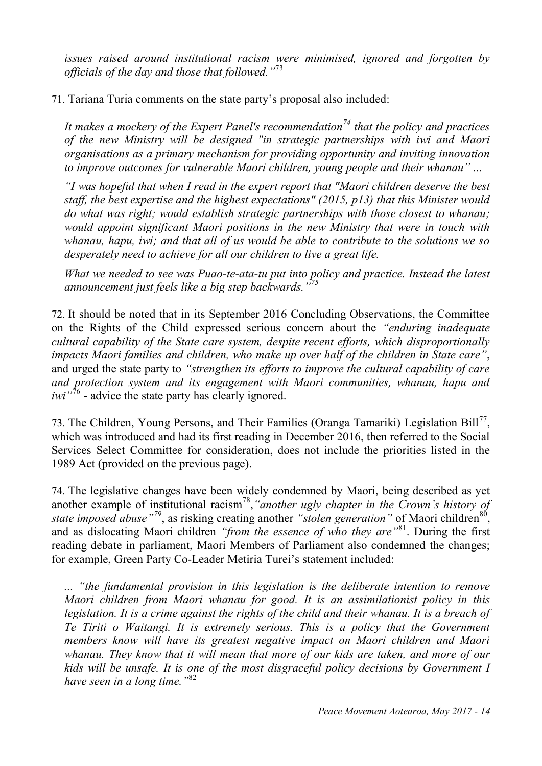*issues raised around institutional racism were minimised, ignored and forgotten by officials of the day and those that followed."* 73

71. Tariana Turia comments on the state party's proposal also included:

*It makes a mockery of the Expert Panel's recommendation<sup>74</sup> that the policy and practices of the new Ministry will be designed "in strategic partnerships with iwi and Maori organisations as a primary mechanism for providing opportunity and inviting innovation to improve outcomes for vulnerable Maori children, young people and their whanau" ...*

*"I was hopeful that when I read in the expert report that "Maori children deserve the best staff, the best expertise and the highest expectations" (2015, p13) that this Minister would do what was right; would establish strategic partnerships with those closest to whanau; would appoint significant Maori positions in the new Ministry that were in touch with whanau, hapu, iwi; and that all of us would be able to contribute to the solutions we so desperately need to achieve for all our children to live a great life.*

*What we needed to see was Puao-te-ata-tu put into policy and practice. Instead the latest announcement just feels like a big step backwards."<sup>75</sup>*

72. It should be noted that in its September 2016 Concluding Observations, the Committee on the Rights of the Child expressed serious concern about the *"enduring inadequate cultural capability of the State care system, despite recent efforts, which disproportionally impacts Maori families and children, who make up over half of the children in State care"*, and urged the state party to *"strengthen its efforts to improve the cultural capability of care and protection system and its engagement with Maori communities, whanau, hapu and iwi*<sup>"76</sup> - advice the state party has clearly ignored.

73. The Children, Young Persons, and Their Families (Oranga Tamariki) Legislation Bill<sup>77</sup>, which was introduced and had its first reading in December 2016, then referred to the Social Services Select Committee for consideration, does not include the priorities listed in the 1989 Act (provided on the previous page).

74. The legislative changes have been widely condemned by Maori, being described as yet another example of institutional racism<sup>78</sup>, "another ugly chapter in the Crown's history of state imposed abuse<sup>"79</sup>, as risking creating another "stolen generation" of Maori children<sup>80</sup>, and as dislocating Maori children *"from the essence of who they are"*<sup>81</sup> . During the first reading debate in parliament, Maori Members of Parliament also condemned the changes; for example, Green Party Co-Leader Metiria Turei's statement included:

*... "the fundamental provision in this legislation is the deliberate intention to remove Maori children from Maori whanau for good. It is an assimilationist policy in this legislation. It is a crime against the rights of the child and their whanau. It is a breach of Te Tiriti o Waitangi. It is extremely serious. This is a policy that the Government members know will have its greatest negative impact on Maori children and Maori whanau. They know that it will mean that more of our kids are taken, and more of our kids will be unsafe. It is one of the most disgraceful policy decisions by Government I have seen in a long time."*<sup>82</sup>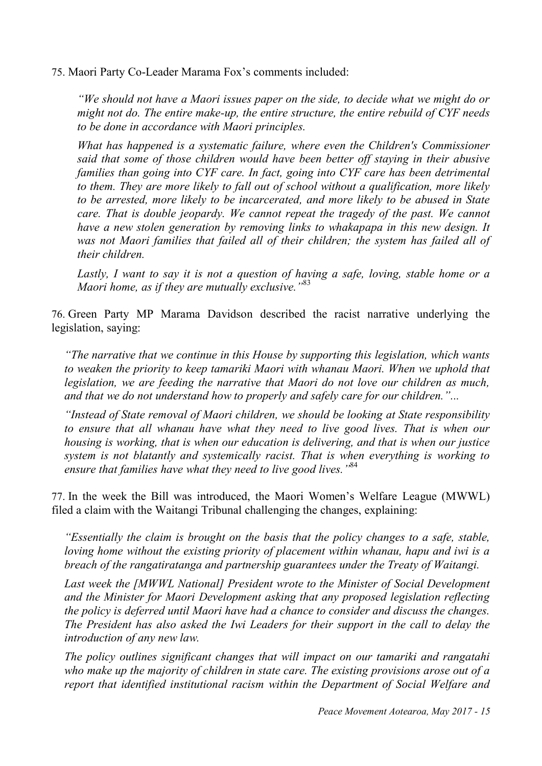75. Maori Party Co-Leader Marama Fox's comments included:

*"We should not have a Maori issues paper on the side, to decide what we might do or might not do. The entire make-up, the entire structure, the entire rebuild of CYF needs to be done in accordance with Maori principles.*

*What has happened is a systematic failure, where even the Children's Commissioner said that some of those children would have been better off staying in their abusive families than going into CYF care. In fact, going into CYF care has been detrimental to them. They are more likely to fall out of school without a qualification, more likely to be arrested, more likely to be incarcerated, and more likely to be abused in State care. That is double jeopardy. We cannot repeat the tragedy of the past. We cannot have a new stolen generation by removing links to whakapapa in this new design. It was not Maori families that failed all of their children; the system has failed all of their children.*

*Lastly, I want to say it is not a question of having a safe, loving, stable home or a Maori home, as if they are mutually exclusive."*<sup>83</sup>

76. Green Party MP Marama Davidson described the racist narrative underlying the legislation, saying:

*"The narrative that we continue in this House by supporting this legislation, which wants to weaken the priority to keep tamariki Maori with whanau Maori. When we uphold that legislation, we are feeding the narrative that Maori do not love our children as much, and that we do not understand how to properly and safely care for our children."...*

*"Instead of State removal of Maori children, we should be looking at State responsibility*  to ensure that all whanau have what they need to live good lives. That is when our *housing is working, that is when our education is delivering, and that is when our justice system is not blatantly and systemically racist. That is when everything is working to ensure that families have what they need to live good lives."* 84

77. In the week the Bill was introduced, the Maori Women's Welfare League (MWWL) filed a claim with the Waitangi Tribunal challenging the changes, explaining:

*"Essentially the claim is brought on the basis that the policy changes to a safe, stable, loving home without the existing priority of placement within whanau, hapu and iwi is a breach of the rangatiratanga and partnership guarantees under the Treaty of Waitangi.*

*Last week the [MWWL National] President wrote to the Minister of Social Development and the Minister for Maori Development asking that any proposed legislation reflecting the policy is deferred until Maori have had a chance to consider and discuss the changes. The President has also asked the Iwi Leaders for their support in the call to delay the introduction of any new law.*

*The policy outlines significant changes that will impact on our tamariki and rangatahi who make up the majority of children in state care. The existing provisions arose out of a report that identified institutional racism within the Department of Social Welfare and*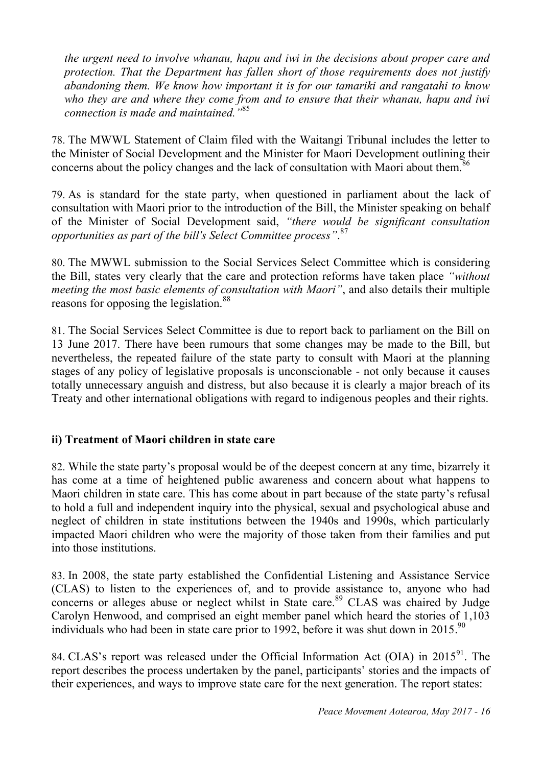*the urgent need to involve whanau, hapu and iwi in the decisions about proper care and protection. That the Department has fallen short of those requirements does not justify abandoning them. We know how important it is for our tamariki and rangatahi to know who they are and where they come from and to ensure that their whanau, hapu and iwi connection is made and maintained."*<sup>85</sup>

78. The MWWL Statement of Claim filed with the Waitangi Tribunal includes the letter to the Minister of Social Development and the Minister for Maori Development outlining their concerns about the policy changes and the lack of consultation with Maori about them.<sup>86</sup>

79. As is standard for the state party, when questioned in parliament about the lack of consultation with Maori prior to the introduction of the Bill, the Minister speaking on behalf of the Minister of Social Development said, *"there would be significant consultation opportunities as part of the bill's Select Committee process"*. 87

80. The MWWL submission to the Social Services Select Committee which is considering the Bill, states very clearly that the care and protection reforms have taken place *"without meeting the most basic elements of consultation with Maori"*, and also details their multiple reasons for opposing the legislation.<sup>88</sup>

81. The Social Services Select Committee is due to report back to parliament on the Bill on 13 June 2017. There have been rumours that some changes may be made to the Bill, but nevertheless, the repeated failure of the state party to consult with Maori at the planning stages of any policy of legislative proposals is unconscionable - not only because it causes totally unnecessary anguish and distress, but also because it is clearly a major breach of its Treaty and other international obligations with regard to indigenous peoples and their rights.

### **ii) Treatment of Maori children in state care**

82. While the state party's proposal would be of the deepest concern at any time, bizarrely it has come at a time of heightened public awareness and concern about what happens to Maori children in state care. This has come about in part because of the state party's refusal to hold a full and independent inquiry into the physical, sexual and psychological abuse and neglect of children in state institutions between the 1940s and 1990s, which particularly impacted Maori children who were the majority of those taken from their families and put into those institutions.

83. In 2008, the state party established the Confidential Listening and Assistance Service (CLAS) to listen to the experiences of, and to provide assistance to, anyone who had concerns or alleges abuse or neglect whilst in State care.<sup>89</sup> CLAS was chaired by Judge Carolyn Henwood, and comprised an eight member panel which heard the stories of 1,103 individuals who had been in state care prior to 1992, before it was shut down in 2015.<sup>90</sup>

84. CLAS's report was released under the Official Information Act (OIA) in  $2015^{91}$ . The report describes the process undertaken by the panel, participants' stories and the impacts of their experiences, and ways to improve state care for the next generation. The report states: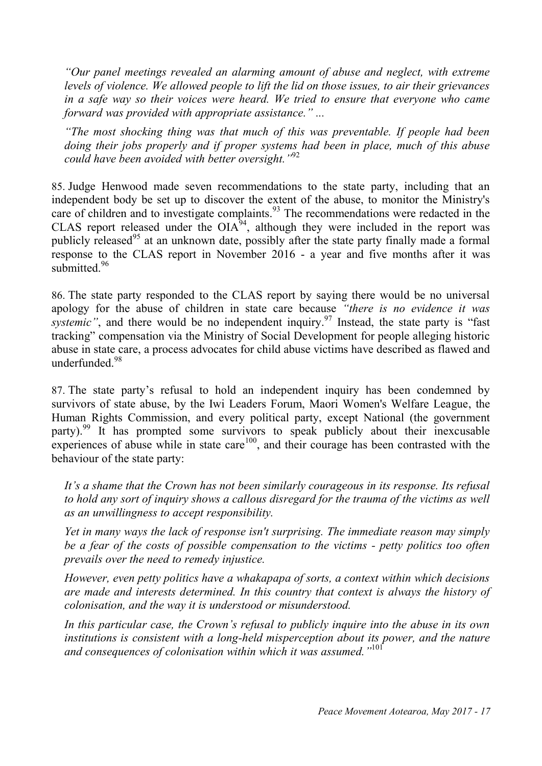*"Our panel meetings revealed an alarming amount of abuse and neglect, with extreme levels of violence. We allowed people to lift the lid on those issues, to air their grievances in a safe way so their voices were heard. We tried to ensure that everyone who came forward was provided with appropriate assistance." ...* 

*"The most shocking thing was that much of this was preventable. If people had been doing their jobs properly and if proper systems had been in place, much of this abuse could have been avoided with better oversight."*<sup>92</sup>

85. Judge Henwood made seven recommendations to the state party, including that an independent body be set up to discover the extent of the abuse, to monitor the Ministry's care of children and to investigate complaints.<sup>93</sup> The recommendations were redacted in the CLAS report released under the  $OIA^{94}$ , although they were included in the report was publicly released<sup>95</sup> at an unknown date, possibly after the state party finally made a formal response to the CLAS report in November 2016 - a year and five months after it was submitted.<sup>96</sup>

86. The state party responded to the CLAS report by saying there would be no universal apology for the abuse of children in state care because *"there is no evidence it was*  systemic", and there would be no independent inquiry.<sup>97</sup> Instead, the state party is "fast tracking" compensation via the Ministry of Social Development for people alleging historic abuse in state care, a process advocates for child abuse victims have described as flawed and underfunded.<sup>98</sup>

87. The state party's refusal to hold an independent inquiry has been condemned by survivors of state abuse, by the Iwi Leaders Forum, Maori Women's Welfare League, the Human Rights Commission, and every political party, except National (the government party).<sup>99</sup> It has prompted some survivors to speak publicly about their inexcusable experiences of abuse while in state care<sup>100</sup>, and their courage has been contrasted with the behaviour of the state party:

*It's a shame that the Crown has not been similarly courageous in its response. Its refusal to hold any sort of inquiry shows a callous disregard for the trauma of the victims as well as an unwillingness to accept responsibility.*

*Yet in many ways the lack of response isn't surprising. The immediate reason may simply be a fear of the costs of possible compensation to the victims - petty politics too often prevails over the need to remedy injustice.*

*However, even petty politics have a whakapapa of sorts, a context within which decisions are made and interests determined. In this country that context is always the history of colonisation, and the way it is understood or misunderstood.*

*In this particular case, the Crown's refusal to publicly inquire into the abuse in its own*  institutions is consistent with a long-held misperception about its power, and the nature *and consequences of colonisation within which it was assumed."* 101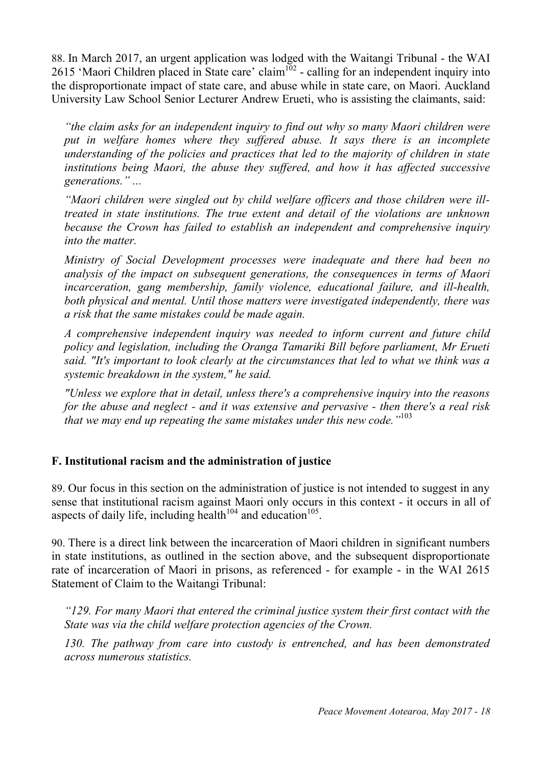88. In March 2017, an urgent application was lodged with the Waitangi Tribunal - the WAI 2615 'Maori Children placed in State care' claim<sup>102</sup> - calling for an independent inquiry into the disproportionate impact of state care, and abuse while in state care, on Maori. Auckland University Law School Senior Lecturer Andrew Erueti, who is assisting the claimants, said:

*"the claim asks for an independent inquiry to find out why so many Maori children were put in welfare homes where they suffered abuse. It says there is an incomplete understanding of the policies and practices that led to the majority of children in state institutions being Maori, the abuse they suffered, and how it has affected successive generations." ...*

*"Maori children were singled out by child welfare officers and those children were illtreated in state institutions. The true extent and detail of the violations are unknown because the Crown has failed to establish an independent and comprehensive inquiry into the matter.*

*Ministry of Social Development processes were inadequate and there had been no analysis of the impact on subsequent generations, the consequences in terms of Maori incarceration, gang membership, family violence, educational failure, and ill-health, both physical and mental. Until those matters were investigated independently, there was a risk that the same mistakes could be made again.*

*A comprehensive independent inquiry was needed to inform current and future child policy and legislation, including the Oranga Tamariki Bill before parliament, Mr Erueti said. "It's important to look clearly at the circumstances that led to what we think was a systemic breakdown in the system," he said.*

*"Unless we explore that in detail, unless there's a comprehensive inquiry into the reasons for the abuse and neglect - and it was extensive and pervasive - then there's a real risk that we may end up repeating the same mistakes under this new code."*<sup>103</sup>

#### **F. Institutional racism and the administration of justice**

89. Our focus in this section on the administration of justice is not intended to suggest in any sense that institutional racism against Maori only occurs in this context - it occurs in all of aspects of daily life, including health<sup>104</sup> and education<sup>105</sup>.

90. There is a direct link between the incarceration of Maori children in significant numbers in state institutions, as outlined in the section above, and the subsequent disproportionate rate of incarceration of Maori in prisons, as referenced - for example - in the WAI 2615 Statement of Claim to the Waitangi Tribunal:

*"129. For many Maori that entered the criminal justice system their first contact with the State was via the child welfare protection agencies of the Crown.*

*130. The pathway from care into custody is entrenched, and has been demonstrated across numerous statistics.*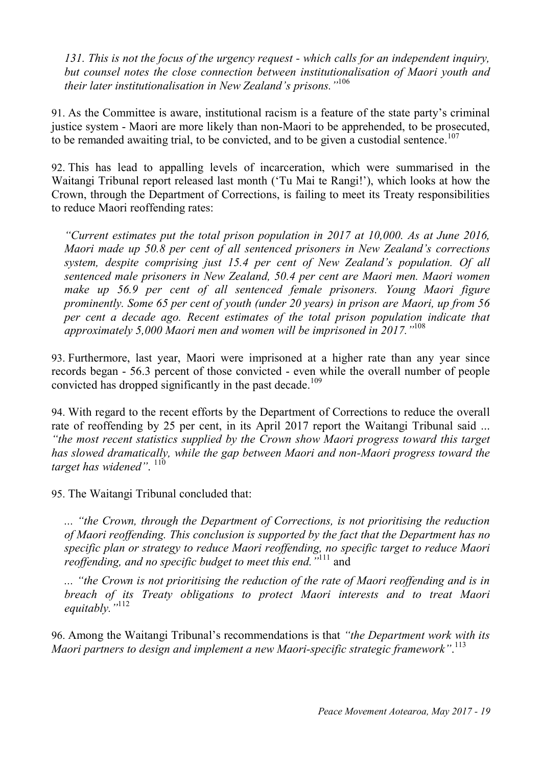*131. This is not the focus of the urgency request - which calls for an independent inquiry, but counsel notes the close connection between institutionalisation of Maori youth and their later institutionalisation in New Zealand's prisons."* 106

91. As the Committee is aware, institutional racism is a feature of the state party's criminal justice system - Maori are more likely than non-Maori to be apprehended, to be prosecuted, to be remanded awaiting trial, to be convicted, and to be given a custodial sentence.<sup>107</sup>

92. This has lead to appalling levels of incarceration, which were summarised in the Waitangi Tribunal report released last month ('Tu Mai te Rangi!'), which looks at how the Crown, through the Department of Corrections, is failing to meet its Treaty responsibilities to reduce Maori reoffending rates:

*"Current estimates put the total prison population in 2017 at 10,000. As at June 2016, Maori made up 50.8 per cent of all sentenced prisoners in New Zealand's corrections system, despite comprising just 15.4 per cent of New Zealand's population. Of all sentenced male prisoners in New Zealand, 50.4 per cent are Maori men. Maori women make up 56.9 per cent of all sentenced female prisoners. Young Maori figure prominently. Some 65 per cent of youth (under 20 years) in prison are Maori, up from 56 per cent a decade ago. Recent estimates of the total prison population indicate that approximately 5,000 Maori men and women will be imprisoned in 2017."* 108

93. Furthermore, last year, Maori were imprisoned at a higher rate than any year since records began - 56.3 percent of those convicted - even while the overall number of people convicted has dropped significantly in the past decade.<sup>109</sup>

94. With regard to the recent efforts by the Department of Corrections to reduce the overall rate of reoffending by 25 per cent, in its April 2017 report the Waitangi Tribunal said ... *"the most recent statistics supplied by the Crown show Maori progress toward this target has slowed dramatically, while the gap between Maori and non-Maori progress toward the*  target has widened". <sup>110</sup>

95. The Waitangi Tribunal concluded that:

*... "the Crown, through the Department of Corrections, is not prioritising the reduction of Maori reoffending. This conclusion is supported by the fact that the Department has no specific plan or strategy to reduce Maori reoffending, no specific target to reduce Maori reoffending, and no specific budget to meet this end."* <sup>111</sup> and

*... "the Crown is not prioritising the reduction of the rate of Maori reoffending and is in breach of its Treaty obligations to protect Maori interests and to treat Maori equitably."*<sup>112</sup>

96. Among the Waitangi Tribunal's recommendations is that *"the Department work with its Maori partners to design and implement a new Maori-specific strategic framework"*. 113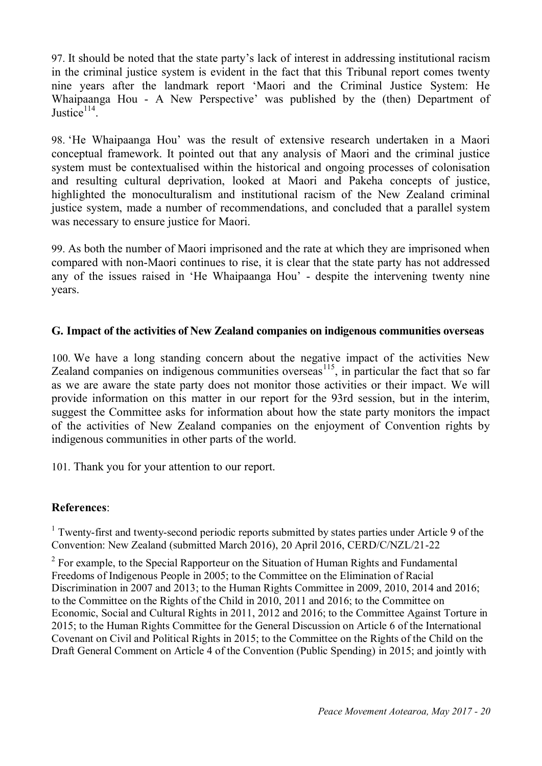97. It should be noted that the state party's lack of interest in addressing institutional racism in the criminal justice system is evident in the fact that this Tribunal report comes twenty nine years after the landmark report 'Maori and the Criminal Justice System: He Whaipaanga Hou - A New Perspective' was published by the (then) Department of Justice $114$ .

98. 'He Whaipaanga Hou' was the result of extensive research undertaken in a Maori conceptual framework. It pointed out that any analysis of Maori and the criminal justice system must be contextualised within the historical and ongoing processes of colonisation and resulting cultural deprivation, looked at Maori and Pakeha concepts of justice, highlighted the monoculturalism and institutional racism of the New Zealand criminal justice system, made a number of recommendations, and concluded that a parallel system was necessary to ensure justice for Maori.

99. As both the number of Maori imprisoned and the rate at which they are imprisoned when compared with non-Maori continues to rise, it is clear that the state party has not addressed any of the issues raised in 'He Whaipaanga Hou' - despite the intervening twenty nine years.

#### **G. Impact of the activities of New Zealand companies on indigenous communities overseas**

100. We have a long standing concern about the negative impact of the activities New Zealand companies on indigenous communities overseas<sup>115</sup>, in particular the fact that so far as we are aware the state party does not monitor those activities or their impact. We will provide information on this matter in our report for the 93rd session, but in the interim, suggest the Committee asks for information about how the state party monitors the impact of the activities of New Zealand companies on the enjoyment of Convention rights by indigenous communities in other parts of the world.

101. Thank you for your attention to our report.

#### **References**:

<sup>1</sup> Twenty-first and twenty-second periodic reports submitted by states parties under Article 9 of the Convention: New Zealand (submitted March 2016), 20 April 2016, CERD/C/NZL/21-22

 $2^2$  For example, to the Special Rapporteur on the Situation of Human Rights and Fundamental Freedoms of Indigenous People in 2005; to the Committee on the Elimination of Racial Discrimination in 2007 and 2013; to the Human Rights Committee in 2009, 2010, 2014 and 2016; to the Committee on the Rights of the Child in 2010, 2011 and 2016; to the Committee on Economic, Social and Cultural Rights in 2011, 2012 and 2016; to the Committee Against Torture in 2015; to the Human Rights Committee for the General Discussion on Article 6 of the International Covenant on Civil and Political Rights in 2015; to the Committee on the Rights of the Child on the Draft General Comment on Article 4 of the Convention (Public Spending) in 2015; and jointly with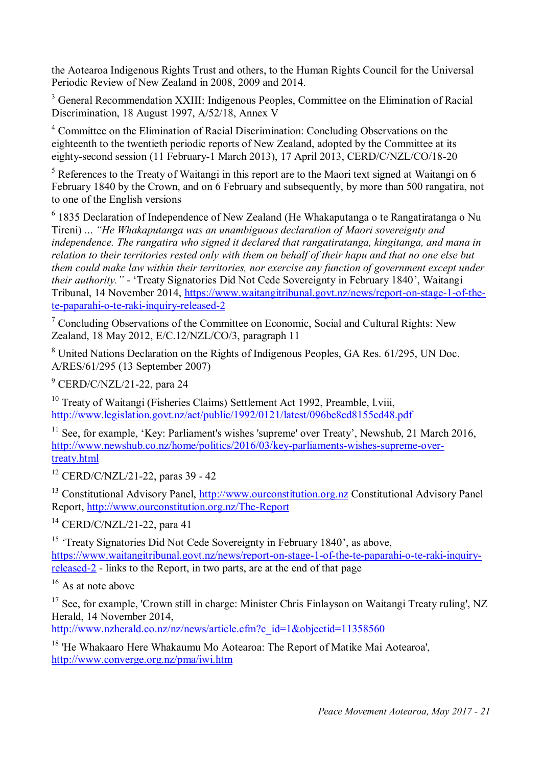the Aotearoa Indigenous Rights Trust and others, to the Human Rights Council for the Universal Periodic Review of New Zealand in 2008, 2009 and 2014.

<sup>3</sup> General Recommendation XXIII: Indigenous Peoples, Committee on the Elimination of Racial Discrimination, 18 August 1997, A/52/18, Annex V

<sup>4</sup> Committee on the Elimination of Racial Discrimination: Concluding Observations on the eighteenth to the twentieth periodic reports of New Zealand, adopted by the Committee at its eighty-second session (11 February-1 March 2013), 17 April 2013, CERD/C/NZL/CO/18-20

 $<sup>5</sup>$  References to the Treaty of Waitangi in this report are to the Maori text signed at Waitangi on 6</sup> February 1840 by the Crown, and on 6 February and subsequently, by more than 500 rangatira, not to one of the English versions

 $6$  1835 Declaration of Independence of New Zealand (He Whakaputanga o te Rangatiratanga o Nu Tireni) ... *"He Whakaputanga was an unambiguous declaration of Maori sovereignty and independence. The rangatira who signed it declared that rangatiratanga, kingitanga, and mana in relation to their territories rested only with them on behalf of their hapu and that no one else but them could make law within their territories, nor exercise any function of government except under their authority."* - 'Treaty Signatories Did Not Cede Sovereignty in February 1840', Waitangi Tribunal, 14 November 2014, https://www.waitangitribunal.govt.nz/news/report-on-stage-1-of-thete-paparahi-o-te-raki-inquiry-released-2

 $\frac{7}{1}$  Concluding Observations of the Committee on Economic, Social and Cultural Rights: New Zealand, 18 May 2012, E/C.12/NZL/CO/3, paragraph 11

<sup>8</sup> United Nations Declaration on the Rights of Indigenous Peoples, GA Res. 61/295, UN Doc. A/RES/61/295 (13 September 2007)

 $9$  CERD/C/NZL/21-22, para 24

<sup>10</sup> Treaty of Waitangi (Fisheries Claims) Settlement Act 1992, Preamble, l.viii, http://www.legislation.govt.nz/act/public/1992/0121/latest/096be8ed8155cd48.pdf

 $11$  See, for example, 'Key: Parliament's wishes 'supreme' over Treaty', Newshub, 21 March 2016, http://www.newshub.co.nz/home/politics/2016/03/key-parliaments-wishes-supreme-overtreaty.html

 $12$  CERD/C/NZL/21-22, paras 39 - 42

<sup>13</sup> Constitutional Advisory Panel, http://www.ourconstitution.org.nz Constitutional Advisory Panel Report, http://www.ourconstitution.org.nz/The-Report

<sup>14</sup> CERD/C/NZL/21-22, para 41

<sup>15</sup> 'Treaty Signatories Did Not Cede Sovereignty in February 1840', as above, https://www.waitangitribunal.govt.nz/news/report-on-stage-1-of-the-te-paparahi-o-te-raki-inquiryreleased-2 - links to the Report, in two parts, are at the end of that page

 $16$  As at note above

<sup>17</sup> See, for example, 'Crown still in charge: Minister Chris Finlayson on Waitangi Treaty ruling', NZ Herald, 14 November 2014,

http://www.nzherald.co.nz/nz/news/article.cfm?c\_id=1&objectid=11358560

<sup>18</sup> 'He Whakaaro Here Whakaumu Mo Aotearoa: The Report of Matike Mai Aotearoa', http://www.converge.org.nz/pma/iwi.htm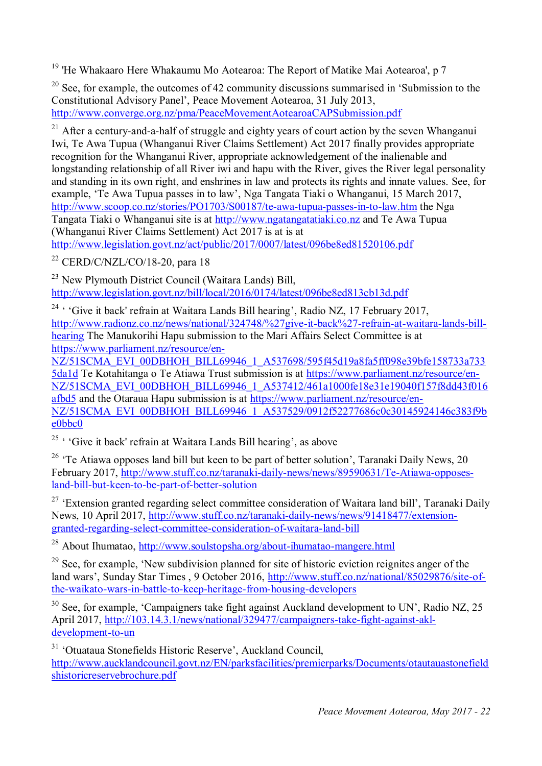<sup>19</sup> 'He Whakaaro Here Whakaumu Mo Aotearoa: The Report of Matike Mai Aotearoa', p 7

<sup>20</sup> See, for example, the outcomes of 42 community discussions summarised in 'Submission to the Constitutional Advisory Panel', Peace Movement Aotearoa, 31 July 2013, http://www.converge.org.nz/pma/PeaceMovementAotearoaCAPSubmission.pdf

<sup>21</sup> After a century-and-a-half of struggle and eighty years of court action by the seven Whanganui Iwi, Te Awa Tupua (Whanganui River Claims Settlement) Act 2017 finally provides appropriate recognition for the Whanganui River, appropriate acknowledgement of the inalienable and longstanding relationship of all River iwi and hapu with the River, gives the River legal personality and standing in its own right, and enshrines in law and protects its rights and innate values. See, for example, 'Te Awa Tupua passes in to law', Nga Tangata Tiaki o Whanganui, 15 March 2017, http://www.scoop.co.nz/stories/PO1703/S00187/te-awa-tupua-passes-in-to-law.htm the Nga Tangata Tiaki o Whanganui site is at http://www.ngatangatatiaki.co.nz and Te Awa Tupua (Whanganui River Claims Settlement) Act 2017 is at is at http://www.legislation.govt.nz/act/public/2017/0007/latest/096be8ed81520106.pdf

 $22$  CERD/C/NZL/CO/18-20, para 18

<sup>23</sup> New Plymouth District Council (Waitara Lands) Bill, http://www.legislation.govt.nz/bill/local/2016/0174/latest/096be8ed813cb13d.pdf

<sup>24</sup> ' 'Give it back' refrain at Waitara Lands Bill hearing', Radio NZ, 17 February 2017, http://www.radionz.co.nz/news/national/324748/%27give-it-back%27-refrain-at-waitara-lands-billhearing The Manukorihi Hapu submission to the Mari Affairs Select Committee is at https://www.parliament.nz/resource/en-

NZ/51SCMA\_EVI\_00DBHOH\_BILL69946\_1\_A537698/595f45d19a8fa5ff098e39bfe158733a733 5da1d Te Kotahitanga o Te Atiawa Trust submission is at https://www.parliament.nz/resource/en-NZ/51SCMA\_EVI\_00DBHOH\_BILL69946\_1\_A537412/461a1000fe18e31e19040f157f8dd43f016 afbd5 and the Otaraua Hapu submission is at https://www.parliament.nz/resource/en-NZ/51SCMA\_EVI\_00DBHOH\_BILL69946\_1\_A537529/0912f52277686c0c30145924146c383f9b e0bbc0

<sup>25</sup> ' 'Give it back' refrain at Waitara Lands Bill hearing', as above

<sup>26</sup> 'Te Atiawa opposes land bill but keen to be part of better solution', Taranaki Daily News, 20 February 2017, http://www.stuff.co.nz/taranaki-daily-news/news/89590631/Te-Atiawa-opposesland-bill-but-keen-to-be-part-of-better-solution

<sup>27</sup> 'Extension granted regarding select committee consideration of Waitara land bill', Taranaki Daily News, 10 April 2017, http://www.stuff.co.nz/taranaki-daily-news/news/91418477/extensiongranted-regarding-select-committee-consideration-of-waitara-land-bill

<sup>28</sup> About Ihumatao, http://www.soulstopsha.org/about-ihumatao-mangere.html

 $^{29}$  See, for example. 'New subdivision planned for site of historic eviction reignites anger of the land wars', Sunday Star Times , 9 October 2016, http://www.stuff.co.nz/national/85029876/site-ofthe-waikato-wars-in-battle-to-keep-heritage-from-housing-developers

 $30$  See, for example, 'Campaigners take fight against Auckland development to UN', Radio NZ, 25 April 2017, http://103.14.3.1/news/national/329477/campaigners-take-fight-against-akldevelopment-to-un

<sup>31</sup> 'Otuataua Stonefields Historic Reserve', Auckland Council, http://www.aucklandcouncil.govt.nz/EN/parksfacilities/premierparks/Documents/otautauastonefield shistoricreservebrochure.pdf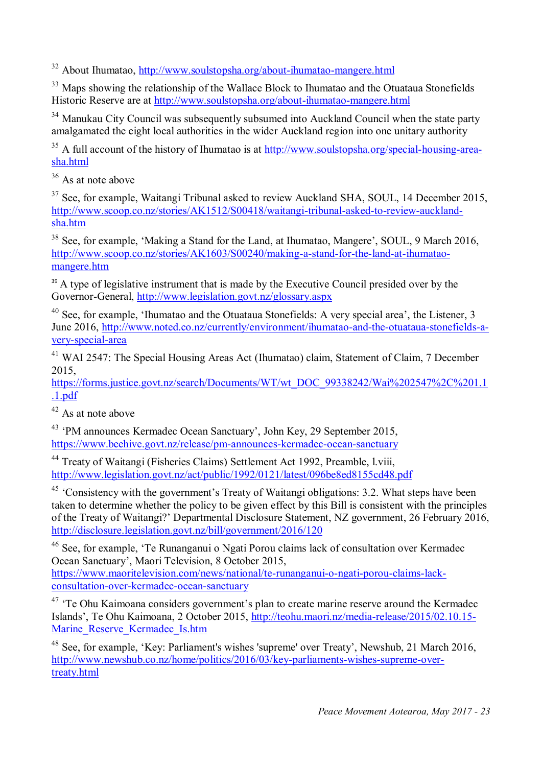<sup>32</sup> About Ihumatao, http://www.soulstopsha.org/about-ihumatao-mangere.html

<sup>33</sup> Maps showing the relationship of the Wallace Block to Ihumatao and the Otuataua Stonefields Historic Reserve are at http://www.soulstopsha.org/about-ihumatao-mangere.html

<sup>34</sup> Manukau City Council was subsequently subsumed into Auckland Council when the state party amalgamated the eight local authorities in the wider Auckland region into one unitary authority

 $35$  A full account of the history of Ihumatao is at  $\frac{http://www.soulstopsha.org/special-housing-area-1}{http://www.soulstopsha.org/special-housing-area-1}$ sha.html

 $36$  As at note above

 $37$  See, for example, Waitangi Tribunal asked to review Auckland SHA, SOUL, 14 December 2015, http://www.scoop.co.nz/stories/AK1512/S00418/waitangi-tribunal-asked-to-review-aucklandsha.htm

<sup>38</sup> See, for example, 'Making a Stand for the Land, at Ihumatao, Mangere', SOUL, 9 March 2016, http://www.scoop.co.nz/stories/AK1603/S00240/making-a-stand-for-the-land-at-ihumataomangere.htm

<sup>39</sup> A type of legislative instrument that is made by the Executive Council presided over by the Governor-General, http://www.legislation.govt.nz/glossary.aspx

<sup>40</sup> See, for example, 'Ihumatao and the Otuataua Stonefields: A very special area', the Listener, 3 June 2016, http://www.noted.co.nz/currently/environment/ihumatao-and-the-otuataua-stonefields-avery-special-area

<sup>41</sup> WAI 2547: The Special Housing Areas Act (Ihumatao) claim, Statement of Claim, 7 December 2015,

https://forms.justice.govt.nz/search/Documents/WT/wt\_DOC\_99338242/Wai%202547%2C%201.1 .1.pdf

 $42$  As at note above

<sup>43</sup> 'PM announces Kermadec Ocean Sanctuary', John Key, 29 September 2015, https://www.beehive.govt.nz/release/pm-announces-kermadec-ocean-sanctuary

<sup>44</sup> Treaty of Waitangi (Fisheries Claims) Settlement Act 1992, Preamble, l.viii, http://www.legislation.govt.nz/act/public/1992/0121/latest/096be8ed8155cd48.pdf

<sup>45</sup> 'Consistency with the government's Treaty of Waitangi obligations: 3.2. What steps have been taken to determine whether the policy to be given effect by this Bill is consistent with the principles of the Treaty of Waitangi?' Departmental Disclosure Statement, NZ government, 26 February 2016, http://disclosure.legislation.govt.nz/bill/government/2016/120

<sup>46</sup> See, for example, 'Te Runanganui o Ngati Porou claims lack of consultation over Kermadec Ocean Sanctuary', Maori Television, 8 October 2015,

https://www.maoritelevision.com/news/national/te-runanganui-o-ngati-porou-claims-lackconsultation-over-kermadec-ocean-sanctuary

 $47$  'Te Ohu Kaimoana considers government's plan to create marine reserve around the Kermadec Islands', Te Ohu Kaimoana, 2 October 2015, http://teohu.maori.nz/media-release/2015/02.10.15- Marine\_Reserve\_Kermadec\_Is.htm

<sup>48</sup> See, for example, 'Key: Parliament's wishes 'supreme' over Treaty', Newshub, 21 March 2016, http://www.newshub.co.nz/home/politics/2016/03/key-parliaments-wishes-supreme-overtreaty.html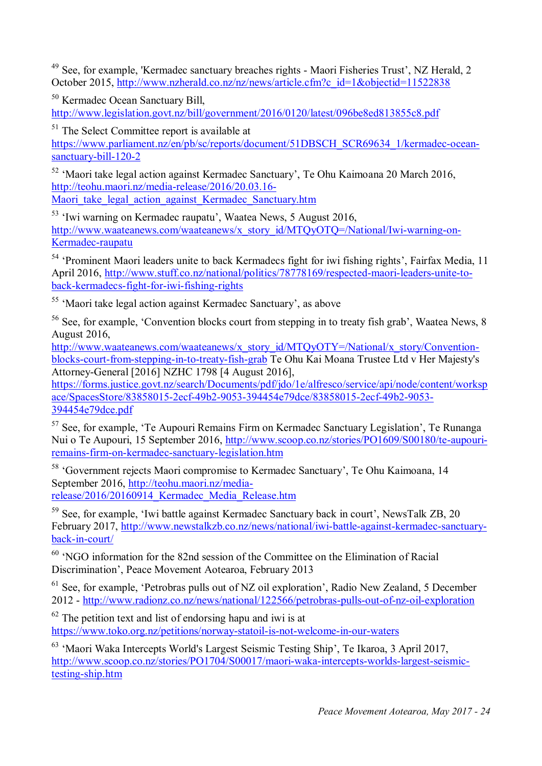<sup>49</sup> See, for example, 'Kermadec sanctuary breaches rights - Maori Fisheries Trust', NZ Herald, 2 October 2015, http://www.nzherald.co.nz/nz/news/article.cfm?c\_id=1&objectid=11522838

<sup>50</sup> Kermadec Ocean Sanctuary Bill, http://www.legislation.govt.nz/bill/government/2016/0120/latest/096be8ed813855c8.pdf

<sup>51</sup> The Select Committee report is available at

https://www.parliament.nz/en/pb/sc/reports/document/51DBSCH\_SCR69634\_1/kermadec-oceansanctuary-bill-120-2

 $52$  'Maori take legal action against Kermadec Sanctuary', Te Ohu Kaimoana 20 March 2016, http://teohu.maori.nz/media-release/2016/20.03.16- Maori take legal action against Kermadec Sanctuary.htm

<sup>53</sup> 'Iwi warning on Kermadec raupatu', Waatea News, 5 August 2016, http://www.waateanews.com/waateanews/x\_story\_id/MTQyOTQ=/National/Iwi-warning-on-Kermadec-raupatu

<sup>54</sup> 'Prominent Maori leaders unite to back Kermadecs fight for iwi fishing rights', Fairfax Media, 11 April 2016, http://www.stuff.co.nz/national/politics/78778169/respected-maori-leaders-unite-toback-kermadecs-fight-for-iwi-fishing-rights

<sup>55</sup> 'Maori take legal action against Kermadec Sanctuary', as above

 $56$  See, for example, 'Convention blocks court from stepping in to treaty fish grab', Waatea News, 8 August 2016,

http://www.waateanews.com/waateanews/x\_story\_id/MTQyOTY=/National/x\_story/Conventionblocks-court-from-stepping-in-to-treaty-fish-grab Te Ohu Kai Moana Trustee Ltd v Her Majesty's Attorney-General [2016] NZHC 1798 [4 August 2016],

https://forms.justice.govt.nz/search/Documents/pdf/jdo/1e/alfresco/service/api/node/content/worksp ace/SpacesStore/83858015-2ecf-49b2-9053-394454e79dce/83858015-2ecf-49b2-9053- 394454e79dce.pdf

 $57$  See, for example, 'Te Aupouri Remains Firm on Kermadec Sanctuary Legislation', Te Runanga Nui o Te Aupouri, 15 September 2016, http://www.scoop.co.nz/stories/PO1609/S00180/te-aupouriremains-firm-on-kermadec-sanctuary-legislation.htm

<sup>58</sup> 'Government rejects Maori compromise to Kermadec Sanctuary', Te Ohu Kaimoana, 14 September 2016, http://teohu.maori.nz/mediarelease/2016/20160914\_Kermadec\_Media\_Release.htm

<sup>59</sup> See, for example, 'Iwi battle against Kermadec Sanctuary back in court', NewsTalk ZB, 20 February 2017, http://www.newstalkzb.co.nz/news/national/iwi-battle-against-kermadec-sanctuaryback-in-court/

 $60$  'NGO information for the 82nd session of the Committee on the Elimination of Racial Discrimination', Peace Movement Aotearoa, February 2013

<sup>61</sup> See, for example, 'Petrobras pulls out of NZ oil exploration', Radio New Zealand, 5 December 2012 - http://www.radionz.co.nz/news/national/122566/petrobras-pulls-out-of-nz-oil-exploration

 $62$  The petition text and list of endorsing hapu and iwi is at https://www.toko.org.nz/petitions/norway-statoil-is-not-welcome-in-our-waters

<sup>63</sup> 'Maori Waka Intercepts World's Largest Seismic Testing Ship', Te Ikaroa, 3 April 2017, http://www.scoop.co.nz/stories/PO1704/S00017/maori-waka-intercepts-worlds-largest-seismictesting-ship.htm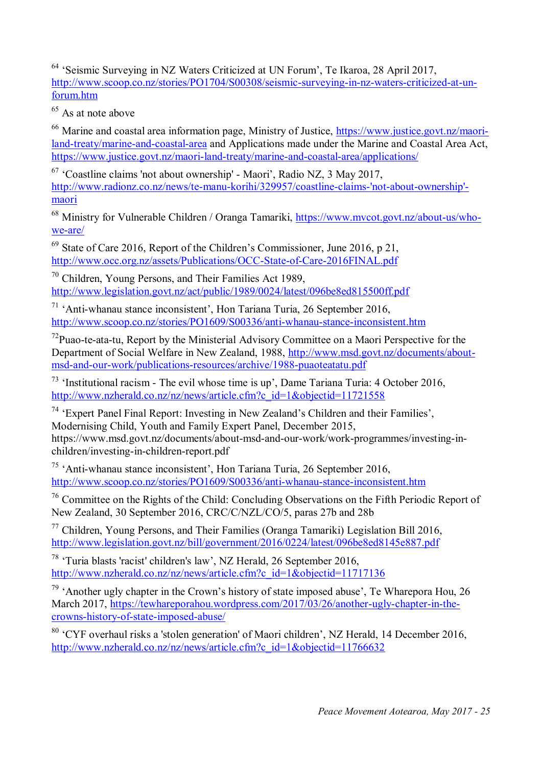<sup>64</sup> 'Seismic Surveying in NZ Waters Criticized at UN Forum', Te Ikaroa, 28 April 2017, http://www.scoop.co.nz/stories/PO1704/S00308/seismic-surveying-in-nz-waters-criticized-at-unforum.htm

 $65$  As at note above

<sup>66</sup> Marine and coastal area information page, Ministry of Justice, https://www.justice.govt.nz/maoriland-treaty/marine-and-coastal-area and Applications made under the Marine and Coastal Area Act, https://www.justice.govt.nz/maori-land-treaty/marine-and-coastal-area/applications/

 $67$  'Coastline claims 'not about ownership' - Maori', Radio NZ, 3 May 2017, http://www.radionz.co.nz/news/te-manu-korihi/329957/coastline-claims-'not-about-ownership' maori

<sup>68</sup> Ministry for Vulnerable Children / Oranga Tamariki, https://www.mvcot.govt.nz/about-us/whowe-are/

<sup>69</sup> State of Care 2016, Report of the Children's Commissioner, June 2016, p 21, http://www.occ.org.nz/assets/Publications/OCC-State-of-Care-2016FINAL.pdf

<sup>70</sup> Children, Young Persons, and Their Families Act 1989, http://www.legislation.govt.nz/act/public/1989/0024/latest/096be8ed815500ff.pdf

 $71$  'Anti-whanau stance inconsistent', Hon Tariana Turia, 26 September 2016, http://www.scoop.co.nz/stories/PO1609/S00336/anti-whanau-stance-inconsistent.htm

 $<sup>72</sup>Puao-te-ata-tu$ , Report by the Ministerial Advisory Committee on a Maori Perspective for the</sup> Department of Social Welfare in New Zealand, 1988, http://www.msd.govt.nz/documents/aboutmsd-and-our-work/publications-resources/archive/1988-puaoteatatu.pdf

<sup>73</sup> 'Institutional racism - The evil whose time is up', Dame Tariana Turia: 4 October 2016, http://www.nzherald.co.nz/nz/news/article.cfm?c\_id=1&objectid=11721558

<sup>74</sup> 'Expert Panel Final Report: Investing in New Zealand's Children and their Families', Modernising Child, Youth and Family Expert Panel, December 2015, https://www.msd.govt.nz/documents/about-msd-and-our-work/work-programmes/investing-inchildren/investing-in-children-report.pdf

<sup>75</sup> 'Anti-whanau stance inconsistent', Hon Tariana Turia, 26 September 2016, http://www.scoop.co.nz/stories/PO1609/S00336/anti-whanau-stance-inconsistent.htm

<sup>76</sup> Committee on the Rights of the Child: Concluding Observations on the Fifth Periodic Report of New Zealand, 30 September 2016, CRC/C/NZL/CO/5, paras 27b and 28b

 $77$  Children, Young Persons, and Their Families (Oranga Tamariki) Legislation Bill 2016, http://www.legislation.govt.nz/bill/government/2016/0224/latest/096be8ed8145e887.pdf

<sup>78</sup> 'Turia blasts 'racist' children's law', NZ Herald, 26 September 2016, http://www.nzherald.co.nz/nz/news/article.cfm?c\_id=1&objectid=11717136

 $79$  'Another ugly chapter in the Crown's history of state imposed abuse', Te Wharepora Hou, 26 March 2017, https://tewhareporahou.wordpress.com/2017/03/26/another-ugly-chapter-in-thecrowns-history-of-state-imposed-abuse/

<sup>80</sup> 'CYF overhaul risks a 'stolen generation' of Maori children', NZ Herald, 14 December 2016, http://www.nzherald.co.nz/nz/news/article.cfm?c\_id=1&objectid=11766632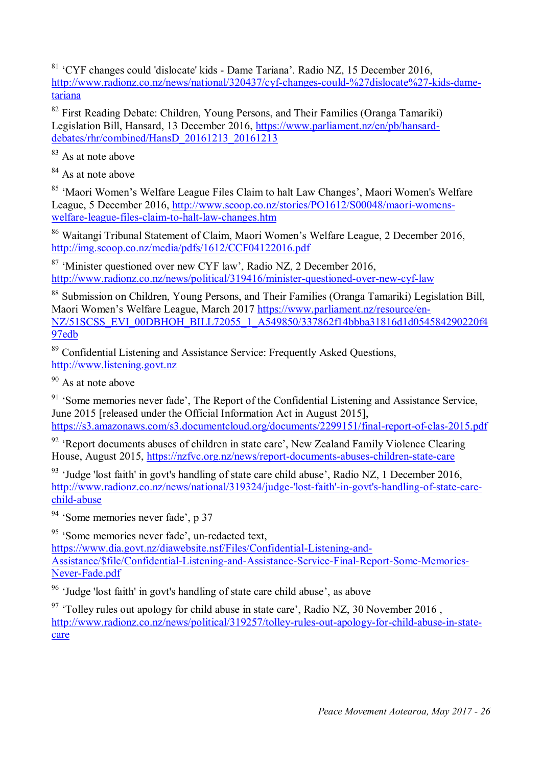<sup>81</sup> 'CYF changes could 'dislocate' kids - Dame Tariana'. Radio NZ, 15 December 2016, http://www.radionz.co.nz/news/national/320437/cyf-changes-could-%27dislocate%27-kids-dametariana

<sup>82</sup> First Reading Debate: Children, Young Persons, and Their Families (Oranga Tamariki) Legislation Bill, Hansard, 13 December 2016, https://www.parliament.nz/en/pb/hansarddebates/rhr/combined/HansD\_20161213\_20161213

<sup>83</sup> As at note above

<sup>84</sup> As at note above

<sup>85</sup> 'Maori Women's Welfare League Files Claim to halt Law Changes', Maori Women's Welfare League, 5 December 2016, http://www.scoop.co.nz/stories/PO1612/S00048/maori-womenswelfare-league-files-claim-to-halt-law-changes.htm

<sup>86</sup> Waitangi Tribunal Statement of Claim, Maori Women's Welfare League, 2 December 2016, http://img.scoop.co.nz/media/pdfs/1612/CCF04122016.pdf

<sup>87</sup> 'Minister questioned over new CYF law', Radio NZ, 2 December 2016, http://www.radionz.co.nz/news/political/319416/minister-questioned-over-new-cyf-law

<sup>88</sup> Submission on Children, Young Persons, and Their Families (Oranga Tamariki) Legislation Bill, Maori Women's Welfare League, March 2017 https://www.parliament.nz/resource/en-NZ/51SCSS\_EVI\_00DBHOH\_BILL72055\_1\_A549850/337862f14bbba31816d1d054584290220f4 97edb

<sup>89</sup> Confidential Listening and Assistance Service: Frequently Asked Questions, http://www.listening.govt.nz

<sup>90</sup> As at note above

 $91$  'Some memories never fade', The Report of the Confidential Listening and Assistance Service, June 2015 [released under the Official Information Act in August 2015], https://s3.amazonaws.com/s3.documentcloud.org/documents/2299151/final-report-of-clas-2015.pdf

 $92$  'Report documents abuses of children in state care', New Zealand Family Violence Clearing House, August 2015, https://nzfvc.org.nz/news/report-documents-abuses-children-state-care

 $93$  'Judge 'lost faith' in govt's handling of state care child abuse', Radio NZ, 1 December 2016, http://www.radionz.co.nz/news/national/319324/judge-'lost-faith'-in-govt's-handling-of-state-carechild-abuse

<sup>94</sup> 'Some memories never fade', p 37

<sup>95</sup> 'Some memories never fade', un-redacted text,

https://www.dia.govt.nz/diawebsite.nsf/Files/Confidential-Listening-and-Assistance/\$file/Confidential-Listening-and-Assistance-Service-Final-Report-Some-Memories-Never-Fade.pdf

<sup>96</sup> 'Judge 'lost faith' in govt's handling of state care child abuse', as above

 $97$  'Tolley rules out apology for child abuse in state care', Radio NZ, 30 November 2016, http://www.radionz.co.nz/news/political/319257/tolley-rules-out-apology-for-child-abuse-in-statecare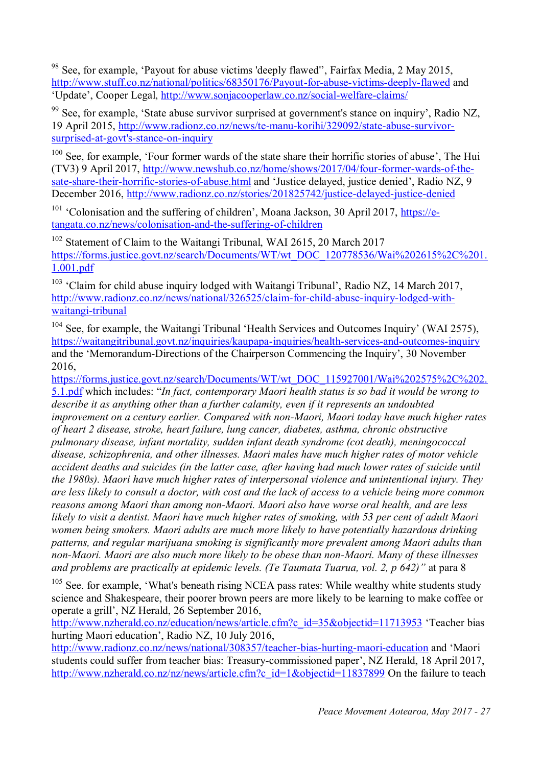<sup>98</sup> See, for example, 'Payout for abuse victims 'deeply flawed'', Fairfax Media, 2 May 2015, http://www.stuff.co.nz/national/politics/68350176/Payout-for-abuse-victims-deeply-flawed and 'Update', Cooper Legal, http://www.sonjacooperlaw.co.nz/social-welfare-claims/

<sup>99</sup> See, for example, 'State abuse survivor surprised at government's stance on inquiry', Radio NZ, 19 April 2015, http://www.radionz.co.nz/news/te-manu-korihi/329092/state-abuse-survivorsurprised-at-govt's-stance-on-inquiry

<sup>100</sup> See. for example. 'Four former wards of the state share their horrific stories of abuse', The Hui (TV3) 9 April 2017, http://www.newshub.co.nz/home/shows/2017/04/four-former-wards-of-thesate-share-their-horrific-stories-of-abuse.html and 'Justice delayed, justice denied', Radio NZ, 9 December 2016, http://www.radionz.co.nz/stories/201825742/justice-delayed-justice-denied

<sup>101</sup> 'Colonisation and the suffering of children', Moana Jackson, 30 April 2017, https://etangata.co.nz/news/colonisation-and-the-suffering-of-children

Statement of Claim to the Waitangi Tribunal, WAI 2615, 20 March 2017 https://forms.justice.govt.nz/search/Documents/WT/wt\_DOC\_120778536/Wai%202615%2C%201. 1.001.pdf

<sup>103</sup> 'Claim for child abuse inquiry lodged with Waitangi Tribunal', Radio NZ, 14 March 2017, http://www.radionz.co.nz/news/national/326525/claim-for-child-abuse-inquiry-lodged-withwaitangi-tribunal

<sup>104</sup> See, for example, the Waitangi Tribunal 'Health Services and Outcomes Inquiry' (WAI 2575), https://waitangitribunal.govt.nz/inquiries/kaupapa-inquiries/health-services-and-outcomes-inquiry and the 'Memorandum-Directions of the Chairperson Commencing the Inquiry', 30 November 2016,

https://forms.justice.govt.nz/search/Documents/WT/wt\_DOC\_115927001/Wai%202575%2C%202. 5.1.pdf which includes: "*In fact, contemporary Maori health status is so bad it would be wrong to describe it as anything other than a further calamity, even if it represents an undoubted improvement on a century earlier. Compared with non-Maori, Maori today have much higher rates of heart 2 disease, stroke, heart failure, lung cancer, diabetes, asthma, chronic obstructive pulmonary disease, infant mortality, sudden infant death syndrome (cot death), meningococcal disease, schizophrenia, and other illnesses. Maori males have much higher rates of motor vehicle accident deaths and suicides (in the latter case, after having had much lower rates of suicide until the 1980s). Maori have much higher rates of interpersonal violence and unintentional injury. They are less likely to consult a doctor, with cost and the lack of access to a vehicle being more common reasons among Maori than among non-Maori. Maori also have worse oral health, and are less likely to visit a dentist. Maori have much higher rates of smoking, with 53 per cent of adult Maori women being smokers. Maori adults are much more likely to have potentially hazardous drinking patterns, and regular marijuana smoking is significantly more prevalent among Maori adults than non-Maori. Maori are also much more likely to be obese than non-Maori. Many of these illnesses and problems are practically at epidemic levels. (Te Taumata Tuarua, vol. 2, p 642)"* at para 8

 $105$  See. for example, 'What's beneath rising NCEA pass rates: While wealthy white students study science and Shakespeare, their poorer brown peers are more likely to be learning to make coffee or operate a grill', NZ Herald, 26 September 2016,

http://www.nzherald.co.nz/education/news/article.cfm?c\_id=35&objectid=11713953 'Teacher bias hurting Maori education', Radio NZ, 10 July 2016,

http://www.radionz.co.nz/news/national/308357/teacher-bias-hurting-maori-education and 'Maori students could suffer from teacher bias: Treasury-commissioned paper', NZ Herald, 18 April 2017, http://www.nzherald.co.nz/nz/news/article.cfm?c\_id=1&objectid=11837899 On the failure to teach